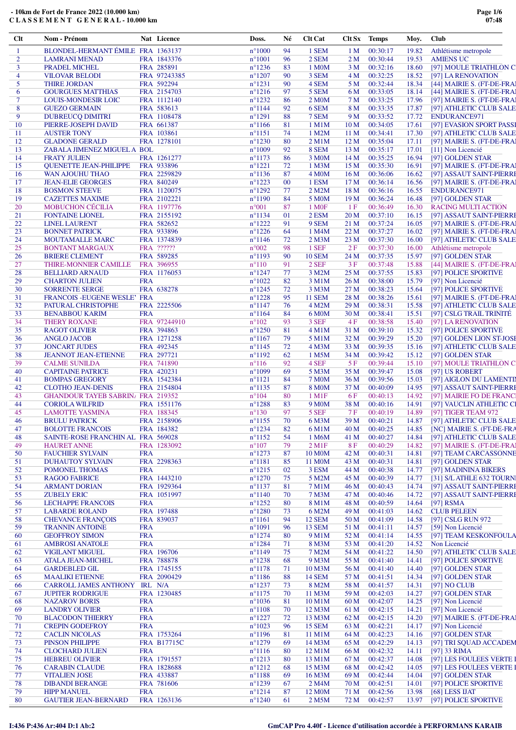| Clt            | Nom - Prénom                                            |            | Nat Licence                | Doss.                              | Né       | <b>Clt Cat</b>                | Clt Sx Temps            |                      | Moy.           | <b>Club</b>                              |
|----------------|---------------------------------------------------------|------------|----------------------------|------------------------------------|----------|-------------------------------|-------------------------|----------------------|----------------|------------------------------------------|
| $\mathbf{1}$   | BLONDEL-HERMANT ÉMILE FRA 1363137                       |            |                            | $n^{\circ}1000$                    | 94       | 1 SEM                         | 1 <sub>M</sub>          | 00:30:17             | 19.82          | Athlétisme metropole                     |
| $\overline{2}$ | <b>LAMRANI MENAD</b>                                    |            | FRA 1843376                | $n^{\circ}1001$                    | 96       | 2 SEM                         | 2 M                     | 00:30:44             | 19.53          | <b>AMIENS UC</b>                         |
| 3              | PRADEL MICHEL                                           |            | FRA 285891                 | $n^{\circ}1236$                    | 83       | 1 M0M                         | 3 M                     | 00:32:16             | 18.60          | [97] MOULE TRIATHLON C                   |
| $\overline{4}$ | <b>VILOVAR BELODI</b>                                   |            | FRA 97243385               | $n^{\circ}1207$                    | 90       | 3 SEM                         | 4 M                     | 00:32:25             | 18.52          | [97] LA RENOVATION                       |
| 5              | <b>THIRE JORDAN</b>                                     |            | FRA 592294                 | $n^{\circ}1231$                    | 90       | 4 SEM                         | 5 M                     | 00:32:44             | 18.34          | [44] MAIRIE S. (FT-DE-FRA)               |
| 6              | <b>GOURGUES MATTHIAS</b>                                |            | FRA 2154703                | $n^{\circ}1216$                    | 97       | 5 SEM                         | 6 M                     | 00:33:05             | 18.14          | [44] MAIRIE S. (FT-DE-FRAI               |
| 7              | <b>LOUIS-MONDESIR LOIC</b>                              |            | FRA 1112140                | $n^{\circ}1232$                    | 86       | 2 MOM                         | 7 M                     | 00:33:25             | 17.96          | [97] MAIRIE S. (FT-DE-FRAI               |
| 8              | <b>GUEZO GERMAIN</b>                                    |            | FRA 583613                 | $n^{\circ}1144$                    | 92       | 6 SEM                         | 8 M                     | 00:33:35             | 17.87          | [97] ATHLETIC CLUB SALE                  |
| 9              | <b>DUBREUCQ DIMITRI</b>                                 |            | FRA 1108478                | $n^{\circ}1291$                    | 88       | 7 SEM                         | 9 M                     | 00:33:52             | 17.72          | ENDURANCE971                             |
| 10             | PIERRE-JOSEPH DAVID                                     |            | FRA 661387                 | $n^{\circ}1166$                    | 81       | 1 M1M                         | 10 <sub>M</sub>         | 00:34:05             | 17.61          | [97] EVASION SPORT PASSI                 |
| 11             | <b>AUSTER TONY</b>                                      |            | FRA 103861                 | $n^{\circ}1151$                    | 74       | 1 M2M                         | 11 <sub>M</sub>         | 00:34:41             | 17.30          | [97] ATHLETIC CLUB SALE                  |
| 12             | <b>GLADONE GERALD</b>                                   |            | FRA 1278101                | $n^{\circ}1230$<br>$n^{\circ}1009$ | 80       | $2$ M $1$ M                   | 12 <sub>M</sub>         | 00:35:04             | 17.11          | [97] MAIRIE S. (FT-DE-FRAI               |
| 13<br>14       | ZABALA JIMENEZ MIGUEL A BOL<br><b>FRATY JULIEN</b>      |            | FRA 1261277                | $n^{\circ}1173$                    | 92<br>86 | 8 SEM<br>3 M <sub>0</sub> M   | 13 <sub>M</sub><br>14 M | 00:35:17<br>00:35:25 | 17.01<br>16.94 | [11] Non Licencié<br>[97] GOLDEN STAR    |
| 15             | <b>QUENETTE JEAN-PHILIPPE</b>                           |            | FRA 933896                 | $n^{\circ}1221$                    | 72       | 1 M <sub>3</sub> M            | 15 <sub>M</sub>         | 00:35:30             | 16.91          | [97] MAIRIE S. (FT-DE-FRA)               |
| 16             | WAN AJOUHU THAO                                         |            | FRA 2259829                | $n^{\circ}1136$                    | 87       | 4 M <sub>0</sub> M            | 16 <sub>M</sub>         | 00:36:06             | 16.62          | [97] ASSAUT SAINT-PIERRI                 |
| 17             | <b>JEAN-ELIE GEORGES</b>                                |            | FRA 840249                 | $n^{\circ}1223$                    | $00\,$   | 1 ESM                         | 17 <sub>M</sub>         | 00:36:14             | 16.56          | [97] MAIRIE S. (FT-DE-FRAI               |
| 18             | <b>BOSMON STEEVE</b>                                    |            | FRA 1120075                | $n^{\circ}1292$                    | 77       | 2 M2M                         | 18 <sub>M</sub>         | 00:36:16             | 16.55          | <b>ENDURANCE971</b>                      |
| 19             | <b>CAZETTES MAXIME</b>                                  |            | FRA 2102221                | $n^{\circ}1190$                    | 84       | 5 M <sub>0</sub> M            | 19 <sub>M</sub>         | 00:36:24             | 16.48          | [97] GOLDEN STAR                         |
| 20             | <b>MOBUCHON CÉCILIA</b>                                 |            | FRA 1197776                | $n^{\circ}001$                     | 87       | 1 M <sub>OF</sub>             | 1F                      | 00:36:49             | 16.30          | <b>RACING MULTI ACTION</b>               |
| 21             | <b>FONTAINE LIONEL</b>                                  |            | FRA 2155192                | $n^{\circ}1134$                    | 01       | 2 ESM                         | 20 M                    | 00:37:10             | 16.15          | [97] ASSAUT SAINT-PIERRI                 |
| 22             | <b>LINEL LAURENT</b>                                    |            | FRA 582652                 | $n^{\circ}1222$                    | 91       | 9 SEM                         | 21 M                    | 00:37:24             | 16.05          | [97] MAIRIE S. (FT-DE-FRAI               |
| 23             | <b>BONNET PATRICK</b>                                   |            | FRA 933896                 | $n^{\circ}1226$                    | 64       | 1 M4M                         | 22 M                    | 00:37:27             | 16.02          | [97] MAIRIE S. (FT-DE-FRA)               |
| 24             | <b>MOUTAMALLE MARC</b>                                  |            | FRA 1374839                | $n^{\circ}1146$                    | 72       | 2 M <sub>3</sub> M            | 23 M                    | 00:37:30             | 16.00          | [97] ATHLETIC CLUB SALE                  |
| 25             | <b>BONTANT MARGAUX</b>                                  |            | FRA ??????                 | $n^{\circ}002$                     | 98       | 1 SEF                         | 2F                      | 00:37:30             | 16.00          | Athlétisme metropole                     |
| 26             | <b>BRIERE CLEMENT</b>                                   |            | FRA 589285                 | $n^{\circ}1193$                    | 90       | <b>10 SEM</b>                 | 24 M                    | 00:37:35             | 15.97          | [97] GOLDEN STAR                         |
| 27             | THIRE-MONNIER CAMILLE                                   |            | FRA 396955                 | $n^{\circ}110$                     | 91       | 2 SEF                         | 3F                      | 00:37:48             | 15.88          | [44] MAIRIE S. (FT-DE-FRA)               |
| 28             | <b>BELLIARD ARNAUD</b>                                  |            | FRA 1176053                | $n^{\circ}1247$                    | 77       | 3 M2M                         | 25 M                    | 00:37:55             | 15.83          | [97] POLICE SPORTIVE                     |
| 29             | <b>CHARTON JULIEN</b>                                   | <b>FRA</b> |                            | $n^{\circ}1022$                    | 82       | 3 M1M                         | 26 M                    | 00:38:00             | 15.79          | [97] Non Licencié                        |
| 30             | <b>SORRENTE SERGE</b>                                   |            | FRA 638278                 | $n^{\circ}1245$                    | 72       | 3 M3M                         | 27 M                    | 00:38:23             | 15.64          | [97] POLICE SPORTIVE                     |
| 31             | FRANCOIS - EUGENE WESLE' FRA                            |            |                            | $n^{\circ}1228$                    | 95       | <b>11 SEM</b>                 | 28 M                    | 00:38:26             | 15.61          | [97] MAIRIE S. (FT-DE-FRA)               |
| 32             | PATURAL CHRISTOPHE                                      |            | FRA 2225506                | $n^{\circ}1147$                    | 76       | 4 M2M                         | 29 M                    | 00:38:31             | 15.58          | [97] ATHLETIC CLUB SALE                  |
| 33             | <b>BENABBOU KARIM</b>                                   | <b>FRA</b> |                            | $n^{\circ}1164$                    | 84       | 6 M <sub>0</sub> M            | 30 <sub>M</sub>         | 00:38:41             | 15.51          | [97] CSLG TRAIL TRINITÉ                  |
| 34             | <b>THERY ROXANE</b>                                     |            | FRA 97244910               | $n^{\circ}102$                     | 93       | 3 SEF                         | 4 F                     | 00:38:58             | 15.40          | [97] LA RENOVATION                       |
| 35             | <b>RAGOT OLIVIER</b>                                    |            | FRA 394863                 | $n^{\circ}1250$                    | 81       | $4$ M $1$ M                   | 31 M                    | 00:39:10             | 15.32          | [97] POLICE SPORTIVE                     |
| 36             | <b>ANGLO JACOB</b>                                      |            | FRA 1271258                | $n^{\circ}1167$                    | 79       | 5 M1M                         | 32 M                    | 00:39:29             | 15.20          | [97] GOLDEN LION ST-JOSH                 |
| 37             | <b>JONCART JUDES</b>                                    |            | FRA 492345                 | $n^{\circ}1145$                    | 72       | 4 M3M                         | 33 M                    | 00:39:35             | 15.16          | [97] ATHLETIC CLUB SALE                  |
| 38             | <b>JEANNOT JEAN-ETIENNE</b>                             |            | FRA 297721                 | $n^{\circ}1192$<br>$n^{\circ}116$  | 62<br>92 | 1 M5M<br>4 SEF                | 34 M<br>5F              | 00:39:42<br>00:39:44 | 15.12          | [97] GOLDEN STAR                         |
| 39<br>40       | <b>CALME SUNILDA</b><br><b>CAPITAINE PATRICE</b>        |            | FRA 741890<br>FRA 420231   | $n^{\circ}1099$                    | 69       | 5 M3M                         | 35 M                    | 00:39:47             | 15.10<br>15.08 | [97] MOULE TRIATHLON C<br>[97] US ROBERT |
| 41             | <b>BOMPAS GREGORY</b>                                   |            | FRA 1542384                | $n^{\circ}1121$                    | 84       | <b>7 M0M</b>                  | 36 M                    | 00:39:56             | 15.03          | [97] AIGLON DU LAMENTI                   |
| 42             | <b>CLOTHO JEAN-DENIS</b>                                |            | FRA 2154804                | $n^{\circ}1135$                    | 87       | <b>8 MOM</b>                  | 37 M                    | 00:40:09             | 14.95          | [97] ASSAUT SAINT-PIERRI                 |
| 43             | <b>GHANDOUR TAYEB SABRIN/ FRA 219352</b>                |            |                            | $n^{\circ}104$                     | 80       | $1 \,\mathrm{M1F}$            | 6 F                     | 00:40:13             | 14.92          | [97] MAIRIE FO DE FRANC                  |
| 44             | <b>CORIOLA WILFRID</b>                                  |            | FRA 1551176                | $n^{\circ}1288$                    | 83       | 9 M <sub>0</sub> M            | 38 M                    | 00:40:16             | 14.91          | [97] VAUCLIN ATHLETIC CI                 |
| 45             | <b>LAMOTTE YASMINA</b>                                  |            | FRA 188345                 | $n^{\circ}130$                     | 97       | 5 SEF                         | 7 F                     | 00:40:19             | 14.89          | [97] TIGER TEAM 972                      |
| 46             | <b>BRULU PATRICK</b>                                    |            | FRA 2158906                | $n^{\circ}1155$                    | 70       | 6 M3M                         | 39 M                    | 00:40:21             | 14.87          | [97] ATHLETIC CLUB SALE                  |
| 47             | <b>BOLOTTE FRANCOIS</b>                                 |            | FRA 184382                 | $n^{\circ}1234$                    | 82       | 6 M1M                         | 40 M                    | 00:40:25             | 14.85          | [NC] MAIRIE S. (FT-DE-FRA                |
| 48             | SAINTE-ROSE FRANCHIN AL FRA 569028                      |            |                            | $n^{\circ}1152$                    | 54       | 1 M6M                         | 41 M                    | 00:40:27             | 14.84          | [97] ATHLETIC CLUB SALE                  |
| 49             | <b>HAURET ANNE</b>                                      |            | FRA 1283092                | $n^{\circ}107$                     | 79       | $2$ M <sub>1</sub> $F$        | 8 F                     | 00:40:29             | 14.82          | [97] MAIRIE S. (FT-DE-FRAI               |
| 50             | <b>FAUCHIER SYLVAIN</b>                                 | <b>FRA</b> |                            | $n^{\circ}1273$                    | 87       | 10 M <sub>0</sub> M           | 42 M                    | 00:40:31             | 14.81          | [97] TEAM CARCASSONNE                    |
| 51             | <b>DUHAUTOY SYLVAIN</b>                                 |            | FRA 2298363                | $n^{\circ}1181$                    | 85       | 11 M <sub>0</sub> M           | 43 M                    | 00:40:31             | 14.81          | [97] GOLDEN STAR                         |
| 52             | POMONEL THOMAS                                          | <b>FRA</b> |                            | $n^{\circ}1215$                    | 02       | 3 ESM                         | 44 M                    | 00:40:38             | 14.77          | [97] MADININA BIKERS                     |
| 53             | <b>RAGOO FABRICE</b>                                    |            | FRA 1443210                | $n^{\circ}1270$                    | 75       | 5 M2M                         | 45 M                    | 00:40:39             | 14.77          | [31] S/L ATHLE 632 TOURNI                |
| 54             | <b>ARMANT DORIAN</b>                                    |            | FRA 1929364                | $n^{\circ}1137$                    | 81       | 7 M1M                         | 46 M                    | 00:40:43             | 14.74          | [97] ASSAUT SAINT-PIERRI                 |
| 55             | <b>ZUBELY ERIC</b>                                      |            | FRA 1051997                | $n^{\circ}1140$                    | 70       | 7 M3M                         | 47 M                    | 00:40:46             | 14.72          | [97] ASSAUT SAINT-PIERRI                 |
| 56             | <b>LECHAPPE FRANCOIS</b>                                | <b>FRA</b> |                            | $n^{\circ}1252$                    | 80       | 8 M1M                         | 48 M                    | 00:40:59             | 14.64          | [97] $RSMA$                              |
| 57             | <b>LABARDE ROLAND</b>                                   |            | FRA 197488                 | $n^{\circ}1280$                    | 73       | 6 M2M                         | 49 M                    | 00:41:03             | 14.62          | <b>CLUB PELEEN</b>                       |
| 58             | <b>CHEVANCE FRANCOIS</b>                                |            | FRA 839037                 | $n^{\circ}1161$                    | 94       | <b>12 SEM</b>                 | 50 M                    | 00:41:09             | 14.58          | [97] CSLG RUN 972                        |
| 59             | <b>TRANNIN ANTOINE</b>                                  | <b>FRA</b> |                            | $n^{\circ}1091$                    | 96       | <b>13 SEM</b>                 | 51 M                    | 00:41:11             | 14.57          | [59] Non Licencié                        |
| 60             | <b>GEOFFROY SIMON</b>                                   | <b>FRA</b> |                            | $n^{\circ}1274$                    | 80       | 9 M1M                         | 52 M                    | 00:41:14             | 14.55          | [97] TEAM KESKONFOULA                    |
| 61             | <b>AMBROSI ANATOLE</b>                                  | <b>FRA</b> |                            | $n^{\circ}1284$                    | 71       | 8 M3M                         | 53 M                    | 00:41:20             | 14.52          | Non Licencié                             |
| 62             | <b>VIGILANT MIGUEL</b>                                  |            | FRA 196706                 | $n^{\circ}1149$                    | 75       | 7 M2M                         | 54 M                    | 00:41:22             | 14.50          | [97] ATHLETIC CLUB SALE                  |
| 63             | <b>ATALA JEAN-MICHEL</b>                                |            | FRA 788878                 | $n^{\circ}1238$                    | 68       | 9 M3M                         | 55 M                    | 00:41:40             | 14.41          | [97] POLICE SPORTIVE                     |
| 64             | <b>GARDEBLED GIL</b>                                    |            | FRA 1745155<br>FRA 2090429 | $n^{\circ}1178$                    | 71       | 10 M3M                        | 56 M                    | 00:41:40             | 14.40          | [97] GOLDEN STAR                         |
| 65<br>66       | <b>MAALIKI ETIENNE</b><br>CARROLL JAMES ANTHONY IRL N/A |            |                            | $n^{\circ}1186$<br>$n^{\circ}1237$ | 88<br>73 | <b>14 SEM</b><br>8 M2M        | 57 M<br>58 M            | 00:41:51<br>00:41:57 | 14.34<br>14.31 | [97] GOLDEN STAR<br>[97] NO CLUB         |
| 67             | <b>JUPITER RODRIGUE</b>                                 |            | FRA 1230485                | $n^{\circ}1175$                    | 70       | 11 M3M                        | 59 M                    | 00:42:03             | 14.27          | [97] GOLDEN STAR                         |
| 68             | <b>NAZAROV BORIS</b>                                    | <b>FRA</b> |                            | $n^{\circ}1036$                    | 81       | 10 M1M                        | 60 M                    | 00:42:07             | 14.25          | [97] Non Licencié                        |
| 69             | <b>LANDRY OLIVIER</b>                                   | <b>FRA</b> |                            | $n^{\circ}1108$                    | 70       | 12 M3M                        | 61 M                    | 00:42:15             | 14.21          | [97] Non Licencié                        |
| 70             | <b>BLACODON THIERRY</b>                                 | <b>FRA</b> |                            | $n^{\circ}1227$                    | 72       | 13 M3M                        | 62 M                    | 00:42:15             | 14.20          | [97] MAIRIE S. (FT-DE-FRAI               |
| 71             | <b>CREPIN GODEFROY</b>                                  | <b>FRA</b> |                            | $n^{\circ}1023$                    | 96       | <b>15 SEM</b>                 | 63 M                    | 00:42:21             | 14.17          | [97] Non Licencié                        |
| 72             | <b>CACLIN NICOLAS</b>                                   |            | FRA 1753264                | $n^{\circ}1196$                    | 81       | 11 M1M                        | 64 M                    | 00:42:23             | 14.16          | [97] GOLDEN STAR                         |
| 73             | <b>PINSON PHILIPPE</b>                                  |            | <b>FRA B17715C</b>         | $n^{\circ}1279$                    | 69       | 14 M3M                        | 65 M                    | 00:42:29             | 14.13          | [97] TRI SQUAD ACCADEM                   |
| 74             | <b>CLOCHARD JULIEN</b>                                  | <b>FRA</b> |                            | $n^{\circ}1116$                    | 80       | 12 M1M                        | 66 M                    | 00:42:32             | 14.11          | $[97]$ 33 RIMA                           |
| 75             | <b>HEBREU OLIVIER</b>                                   |            | FRA 1791557                | $n^{\circ}1213$                    | 80       | 13 M1M                        | 67 M                    | 00:42:37             | 14.08          | [97] LES FOULEES VERTE I                 |
| 76             | <b>CARABIN CLAUDE</b>                                   |            | FRA 1828688                | $n^{\circ}1212$                    | 68       | 15 M3M                        | 68 M                    | 00:42:42             | 14.05          | [97] LES FOULEES VERTE I                 |
| 77             | <b>VITALIEN JOSE</b>                                    |            | FRA 433887                 | $n^{\circ}1188$                    | 69       | 16 M3M                        | 69 M                    | 00:42:44             | 14.04          | [97] GOLDEN STAR                         |
| 78             | <b>DIBANDI BERANGE</b>                                  |            | FRA 781606                 | $n^{\circ}1239$                    | 67       | 2 <sub>M</sub> 4 <sub>M</sub> | 70 M                    | 00:42:51             | 14.01          | [97] POLICE SPORTIVE                     |
| 79             | <b>HIPP MANUEL</b>                                      | <b>FRA</b> |                            | $n^{\circ}1214$                    | 87       | 12 M <sub>0</sub> M           | 71 M                    | 00:42:56             | 13.98          | $[68]$ LESS IJAT                         |
| 80             | <b>GAUTIER JEAN-BERNARD</b>                             |            | FRA 1263136                | $n^{\circ}1240$                    | 61       | 2 M5M                         | 72 M                    | 00:42:57             | 13.97          | [97] POLICE SPORTIVE                     |
|                |                                                         |            |                            |                                    |          |                               |                         |                      |                |                                          |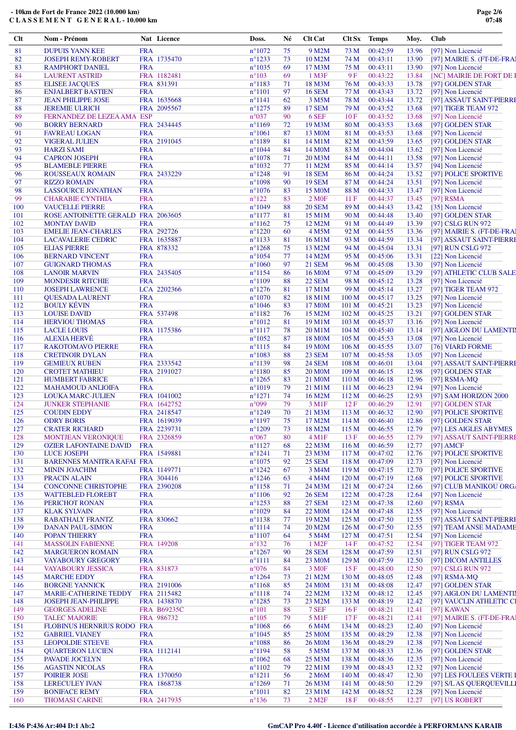| Clt        | Nom - Prénom                                         |            | Nat Licence        | Doss.                              | Né       | <b>Clt Cat</b>                 | Clt Sx Temps              |                      | Moy.           | <b>Club</b>                               |
|------------|------------------------------------------------------|------------|--------------------|------------------------------------|----------|--------------------------------|---------------------------|----------------------|----------------|-------------------------------------------|
| 81         | <b>DUPUIS YANN KEE</b>                               | <b>FRA</b> |                    | $n^{\circ}1072$                    | 75       | 9 M2M                          | 73 M                      | 00:42:59             | 13.96          | [97] Non Licencié                         |
| 82         | <b>JOSEPH REMY-ROBERT</b>                            |            | FRA 1735470        | $n^{\circ}1233$                    | 73       | 10 M2M                         | 74 M                      | 00:43:11             | 13.90          | [97] MAIRIE S. (FT-DE-FRA)                |
| 83         | <b>RAMPHORT DANIEL</b>                               | <b>FRA</b> |                    | $n^{\circ}1035$                    | 69       | 17 M3M                         | 75 M                      | 00:43:11             | 13.90          | [97] Non Licencié                         |
| 84         | <b>LAURENT ASTRID</b>                                |            | FRA 1182481        | $n^{\circ}103$                     | 69       | 1 M3F                          | 9F                        | 00:43:22             | 13.84          | [NC] MAIRIE DE FORT DE I                  |
| 85         | <b>ELISEE JACQUES</b>                                |            | FRA 831391         | $n^{\circ}1183$                    | 71       | 18 M3M                         | 76 M                      | 00:43:33             | 13.78          | [97] GOLDEN STAR                          |
| 86         | <b>ENJALBERT BASTIEN</b>                             | <b>FRA</b> |                    | $n^{\circ}1101$                    | 97       | <b>16 SEM</b>                  | 77 M                      | 00:43:43             | 13.72          | [97] Non Licencié                         |
| 87         | <b>JEAN PHILIPPE JOSE</b>                            |            | FRA 1635668        | $n^{\circ}1141$                    | 62       | 3 M5M                          | 78 M                      | 00:43:44             | 13.72          | [97] ASSAUT SAINT-PIERRI                  |
| 88         | <b>JEREMIE ULRICH</b>                                |            | FRA 2095567        | $n^{\circ}1275$                    | 89       | <b>17 SEM</b>                  | 79 M                      | 00:43:52             | 13.68          | [97] TIGER TEAM 972                       |
| 89         | FERNANDEZ DE LEZEA AMA ESP                           |            |                    | $n^{\circ}037$                     | 90       | 6 SEF                          | 10F                       | 00:43:52             | 13.68          | [97] Non Licencié                         |
| 90         | <b>BORRY BERNARD</b>                                 |            | FRA 2434445        | $n^{\circ}1169$                    | 72       | 19 M3M                         | 80 M                      | 00:43:53             | 13.68          | [97] GOLDEN STAR                          |
| 91         | <b>FAVREAU LOGAN</b>                                 | <b>FRA</b> |                    | $n^{\circ}1061$                    | 87       | 13 M <sub>0</sub> M            | 81 M                      | 00:43:53             | 13.68          | [97] Non Licencié                         |
| 92         | <b>VIGERAL JULIEN</b>                                |            | FRA 2191045        | $n^{\circ}1189$                    | 81       | 14 M1M                         | 82 M                      | 00:43:59             | 13.65          | [97] GOLDEN STAR                          |
| 93         | <b>HARZI SAMI</b>                                    | <b>FRA</b> |                    | $n^{\circ}1044$                    | 84       | 14 M <sub>0</sub> M            | 83 M                      | 00:44:04             | 13.62          | [97] Non Licencié                         |
| 94         | <b>CAPRON JOSEPH</b>                                 | <b>FRA</b> |                    | $n^{\circ}1078$                    | 71       | 20 M3M                         | 84 M                      | 00:44:11             | 13.58          | [97] Non Licencié                         |
| 95         | <b>BLAMEBLE PIERRE</b>                               | <b>FRA</b> |                    | $n^{\circ}1032$                    | 77       | 11 M2M                         | 85 M                      | 00:44:14             | 13.57          | [94] Non Licencié                         |
| 96<br>97   | ROUSSEAUX ROMAIN                                     | <b>FRA</b> | FRA 2433229        | $n^{\circ}1248$<br>$n^{\circ}1098$ | 91<br>90 | <b>18 SEM</b><br><b>19 SEM</b> | 86 M                      | 00:44:24<br>00:44:24 | 13.52          | [97] POLICE SPORTIVE                      |
| 98         | <b>RIZZO ROMAIN</b>                                  | <b>FRA</b> |                    | $n^{\circ}1076$                    | 83       |                                | 87 M<br>88 M              | 00:44:33             | 13.51          | [97] Non Licencié                         |
| 99         | <b>LASSOURCE JONATHAN</b><br><b>CHARABIE CYNTHIA</b> | <b>FRA</b> |                    | $n^{\circ}122$                     | 83       | 15 M <sub>0</sub> M<br>2 M0F   | 11F                       | 00:44:37             | 13.47<br>13.45 | [97] Non Licencié<br>$[97]$ RSMA          |
| 100        | <b>VAUCELLE PIERRE</b>                               | <b>FRA</b> |                    | $n^{\circ}1049$                    | 88       | <b>20 SEM</b>                  | 89 M                      | 00:44:43             | 13.42          | [35] Non Licencié                         |
| 101        | ROSE ANTOINETTE GERALD FRA 2063605                   |            |                    | $n^{\circ}1177$                    | 81       | 15 M1M                         | 90 M                      | 00:44:48             | 13.40          | [97] GOLDEN STAR                          |
| 102        | <b>MONTAY DAVID</b>                                  | <b>FRA</b> |                    | $n^{\circ}1162$                    | 75       | 12 M2M                         | 91 M                      | 00:44:49             | 13.39          | [97] CSLG RUN 972                         |
| 103        | <b>EMELIE JEAN-CHARLES</b>                           |            | FRA 292726         | $n^{\circ}1220$                    | 60       | 4 M5M                          | 92 M                      | 00:44:55             | 13.36          | [97] MAIRIE S. (FT-DE-FRAI                |
| 104        | <b>LACAVALERIE CEDRIC</b>                            |            | FRA 1635887        | $n^{\circ}1133$                    | 81       | 16 M1M                         | 93 M                      | 00:44:59             | 13.34          | [97] ASSAUT SAINT-PIERRI                  |
| 105        | <b>ELIAS PIERRE</b>                                  |            | FRA 878332         | $n^{\circ}1268$                    | 75       | 13 M2M                         | 94 M                      | 00:45:04             | 13.31          | [97] RUN CSLG 972                         |
| 106        | <b>BERNARD VINCENT</b>                               | <b>FRA</b> |                    | $n^{\circ}1054$                    | 77       | 14 M2M                         | 95 M                      | 00:45:06             | 13.31          | [22] Non Licencié                         |
| 107        | <b>GUIGNARD THOMAS</b>                               | <b>FRA</b> |                    | $n^{\circ}1060$                    | 97       | <b>21 SEM</b>                  | 96 M                      | 00:45:08             | 13.30          | [97] Non Licencié                         |
| 108        | <b>LANOIR MARVIN</b>                                 |            | FRA 2435405        | $n^{\circ}1154$                    | 86       | 16 M <sub>0</sub> M            | 97 M                      | 00:45:09             | 13.29          | [97] ATHLETIC CLUB SALE                   |
| 109        | <b>MONDESIR RITCHIE</b>                              | <b>FRA</b> |                    | $n^{\circ}1109$                    | 88       | <b>22 SEM</b>                  | 98 M                      | 00:45:12             | 13.28          | [97] Non Licencié                         |
| 110        | <b>JOSEPH LAWRENCE</b>                               |            | LCA 2202366        | $n^{\circ}1276$                    | 81       | 17 M1M                         | 99 M                      | 00:45:14             | 13.27          | [97] TIGER TEAM 972                       |
| 111        | <b>QUESADA LAURENT</b>                               | <b>FRA</b> |                    | $n^{\circ}1070$                    | 82       | 18 M1M                         | 100 <sub>M</sub>          | 00:45:17             | 13.25          | [97] Non Licencié                         |
| 112        | <b>BOULY KÉVIN</b>                                   | <b>FRA</b> |                    | $n^{\circ}1046$                    | 83       | 17 M <sub>0</sub> M            | 101 <sub>M</sub>          | 00:45:21             | 13.23          | [97] Non Licencié                         |
| 113        | <b>LOUISE DAVID</b>                                  |            | FRA 537498         | $n^{\circ}1182$                    | 76       | 15 M2M                         | 102 <sub>M</sub>          | 00:45:25             | 13.21          | [97] GOLDEN STAR                          |
| 114        | <b>HERVIOU THOMAS</b>                                | <b>FRA</b> |                    | $n^{\circ}1012$                    | 81       | 19 M1M                         | 103 M                     | 00:45:37             | 13.16          | [97] Non Licencié                         |
| 115        | <b>LACLE LOUIS</b>                                   |            | FRA 1175386        | $n^{\circ}1117$                    | 78       | 20 M1M                         | 104 M                     | 00:45:40             | 13.14          | [97] AIGLON DU LAMENTI                    |
| 116        | <b>ALEXIA HERVÉ</b>                                  | <b>FRA</b> |                    | $n^{\circ}1052$                    | 87       | <b>18 MOM</b>                  | 105 <sub>M</sub>          | 00:45:53             | 13.08          | [97] Non Licencié                         |
| 117        | <b>RAKOTOMAVO PIERRE</b>                             | <b>FRA</b> |                    | $n^{\circ}1115$                    | 84       | 19 M <sub>0</sub> M            | 106 <sub>M</sub>          | 00:45:55             | 13.07          | [76] VIARD FORME                          |
| 118        | <b>CRETINOIR DYLAN</b>                               | <b>FRA</b> |                    | $n^{\circ}1083$                    | 88       | <b>23 SEM</b>                  | 107 <sub>M</sub>          | 00:45:58             | 13.05          | [97] Non Licencié                         |
| 119        | <b>GEMIEUX RUBEN</b>                                 |            | FRA 2333542        | $n^{\circ}1139$                    | 98       | <b>24 SEM</b>                  | 108 M                     | 00:46:01             | 13.04          | [97] ASSAUT SAINT-PIERRI                  |
| 120        | <b>CROTET MATHIEU</b>                                |            | FRA 2191027        | $n^{\circ}1180$                    | 85       | <b>20 MOM</b>                  | 109 <sub>M</sub>          | 00:46:15             | 12.98          | [97] GOLDEN STAR                          |
| 121        | <b>HUMBERT FABRICE</b>                               | <b>FRA</b> |                    | $n^{\circ}1265$                    | 83       | 21 M <sub>0</sub> M            | 110 <sub>M</sub>          | 00:46:18             | 12.96          | [97] $RSMA-MQ$                            |
| 122        | <b>MAHAMOUD ANLIOIFA</b>                             | <b>FRA</b> |                    | $n^{\circ}1019$                    | 79       | 21 M1M                         | 111 M                     | 00:46:23             | 12.94          | [97] Non Licencié                         |
| 123        | LOUKA MARC-JULIEN                                    |            | FRA 1041002        | $n^{\circ}1271$                    | 74       | 16 M2M                         | 112 M                     | 00:46:25             | 12.93          | [97] SAM HORIZON 2000                     |
| 124        | <b>JUNKER STEPHANIE</b>                              |            | FRA 1642752        | $n^{\circ}099$                     | 79       | 3 M1F                          | 12 F                      | 00:46:29             | 12.91          | [97] GOLDEN STAR                          |
| 125        | <b>COUDIN EDDY</b>                                   |            | FRA 2418547        | $n^{\circ}1249$                    | 70       | 21 M3M                         | 113 M                     | 00:46:32             | 12.90          | [97] POLICE SPORTIVE                      |
| 126        | <b>ODRY BORIS</b>                                    |            | FRA 1619039        | $n^{\circ}1197$                    | 75       | 17 M2M                         | 114 M                     | 00:46:40             | 12.86          | [97] GOLDEN STAR                          |
| 127        | <b>CRATER RICHARD</b>                                |            | FRA 2239731        | $n^{\circ}1209$                    | 73       | 18 M2M                         | 115 M                     | 00:46:55             | 12.79          | [97] LES AIGLES ABYMES                    |
| 128        | <b>MONTJEAN VERONIQUE</b>                            |            | FRA 2326859        | $n^{\circ}067$                     | 80       | $4 \,\mathrm{M1F}$             | 13 F                      | 00:46:55             | 12.79          | [97] ASSAUT SAINT-PIERRI                  |
| 129        | <b>OZIER LAFONTAINE DAVID</b>                        | <b>FRA</b> | FRA 1549881        | $n^{\circ}1127$                    | 68       | 22 M3M                         | 116 M                     | 00:46:59             | 12.77          | $[97]$ AMCF                               |
| 130<br>131 | <b>LUCE JOSEPH</b><br>BARENNES MANITRA RAFAE FRA     |            |                    | $n^{\circ}1241$<br>$n^{\circ}1075$ | 71<br>92 | 23 M3M<br><b>25 SEM</b>        | 117 <sub>M</sub><br>118 M | 00:47:02<br>00:47:09 | 12.76<br>12.73 | [97] POLICE SPORTIVE<br>[97] Non Licencié |
| 132        | <b>MININ JOACHIM</b>                                 |            | FRA 1149771        | $n^{\circ}1242$                    | 67       | 3 M4M                          | 119 M                     | 00:47:15             | 12.70          | [97] POLICE SPORTIVE                      |
| 133        | PRACIN ALAIN                                         |            | FRA 304416         | $n^{\circ}$ 1246                   | 63       | 4 M4M                          | 120 <sub>M</sub>          | 00:47:19             | 12.68          | [97] POLICE SPORTIVE                      |
| 134        | <b>CONCONNE CHRISTOPHE</b>                           |            | FRA 2390208        | $n^{\circ}$ 1158                   | 71       | 24 M3M                         | 121 M                     | 00:47:24             | 12.66          | [97] CLUB MANIKOU ORG/                    |
| 135        | <b>WATTEBLED FLOREBT</b>                             | <b>FRA</b> |                    | $n^{\circ}1106$                    | 92       | <b>26 SEM</b>                  | 122 M                     | 00:47:28             | 12.64          | [97] Non Licencié                         |
| 136        | PERICHOT RONAN                                       | <b>FRA</b> |                    | $n^{\circ}$ 1253                   | 88       | <b>27 SEM</b>                  | 123 <sub>M</sub>          | 00:47:38             | 12.60          | $[97]$ RSMA                               |
| 137        | <b>KLAK SYLVAIN</b>                                  | <b>FRA</b> |                    | $n^{\circ}1029$                    | 84       | 22 M <sub>0</sub> M            | 124M                      | 00:47:48             | 12.55          | [97] Non Licencié                         |
| 138        | <b>RABATHALY FRANTZ</b>                              |            | FRA 830662         | $n^{\circ}1138$                    | 77       | 19 M2M                         | 125 M                     | 00:47:50             | 12.55          | [97] ASSAUT SAINT-PIERRI                  |
| 139        | <b>DANAN PAUL-SIMON</b>                              | <b>FRA</b> |                    | $n^{\circ}1114$                    | 74       | 20 M2M                         | 126 <sub>M</sub>          | 00:47:50             | 12.55          | [97] TEAM ANSE MADAME                     |
| 140        | POPAN THIERRY                                        | <b>FRA</b> |                    | $n^{\circ}1107$                    | 64       | 5 M4M                          | 127 <sub>M</sub>          | 00:47:51             | 12.54          | [97] Non Licencié                         |
| 141        | <b>MASSOLIN FABIENNE</b>                             |            | FRA 149208         | $n^{\circ}132$                     | 76       | 1 M <sub>2</sub> F             | 14F                       | 00:47:52             | 12.54          | [97] TIGER TEAM 972                       |
| 142        | <b>MARGUERON ROMAIN</b>                              | <b>FRA</b> |                    | $n^{\circ}1267$                    | 90       | <b>28 SEM</b>                  | 128 M                     | 00:47:59             | 12.51          | [97] RUN CSLG 972                         |
| 143        | <b>VAYABOURY GREGORY</b>                             | <b>FRA</b> |                    | $n^{\circ}1111$                    | 84       | 23 M <sub>0</sub> M            | 129 <sub>M</sub>          | 00:47:59             | 12.50          | [97] DICOM ANTILLES                       |
| 144        | <b>VAYABOURY JESSICA</b>                             |            | FRA 831873         | $n^{\circ}076$                     | 84       | 3 M <sub>OF</sub>              | 15F                       | 00:48:00             | 12.50          | [97] CSLG RUN 972                         |
| 145        | <b>MARCHE EDDY</b>                                   | <b>FRA</b> |                    | $n^{\circ}$ 1264                   | 73       | 21 M2M                         | 130 <sub>M</sub>          | 00:48:05             | 12.48          | [97] $RSMA-MQ$                            |
| 146        | <b>BORGNE YANNICK</b>                                |            | FRA 2191006        | $n^{\circ}1168$                    | 85       | 24 M <sub>0</sub> M            | 131 M                     | 00:48:08             | 12.47          | [97] GOLDEN STAR                          |
| 147        | <b>MARIE-CATHERINE TEDDY</b>                         |            | FRA 2115482        | $n^{\circ}1118$                    | 74       | 22 M2M                         | 132 M                     | 00:48:12             | 12.45          | [97] AIGLON DU LAMENTI                    |
| 148        | <b>JOSEPH JEAN-PHILIPPE</b>                          |            | FRA 1438870        | $n^{\circ}1285$                    | 73       | 23 M2M                         | 133 M                     | 00:48:19             | 12.42          | [97] VAUCLIN ATHLETIC CI                  |
| 149        | <b>GEORGES ADELINE</b>                               |            | <b>FRA B69235C</b> | $n^{\circ}101$                     | 88       | 7 SEF                          | 16F                       | 00:48:21             | 12.41          | $[97]$ KAWAN                              |
| 150        | <b>TALEC MAJORIE</b>                                 |            | FRA 986732         | $n^{\circ}105$                     | 79       | 5 M1F                          | 17F                       | 00:48:21             | 12.41          | [97] MAIRIE S. (FT-DE-FRAI                |
| 151        | <b>FLOBINUS HERNRIUS RODO! FRA</b>                   |            |                    | $n^{\circ}1068$                    | 66       | 6 M4M                          | 134 M                     | 00:48:23             | 12.40          | [97] Non Licencié                         |
| 152        | <b>GABRIEL VIANEY</b>                                | <b>FRA</b> |                    | $n^{\circ}1045$                    | 85       | 25 M <sub>0</sub> M            | 135 M                     | 00:48:29             | 12.38          | [97] Non Licencié                         |
| 153        | <b>LEOPOLDIE STEEVE</b>                              | <b>FRA</b> |                    | $n^{\circ}1088$                    | 86       | 26 M <sub>0</sub> M            | 136 <sub>M</sub>          | 00:48:29             | 12.38          | [97] Non Licencié                         |
| 154        | <b>QUARTERON LUCIEN</b>                              |            | FRA 1112141        | $n^{\circ}1194$                    | 58       | 5 M5M                          | 137 M                     | 00:48:33             | 12.36          | [97] GOLDEN STAR                          |
| 155        | PAVADE JOCELYN                                       | <b>FRA</b> |                    | $n^{\circ}1062$                    | 68       | 25 M3M                         | 138 M                     | 00:48:36             | 12.35          | [97] Non Licencié                         |
| 156        | <b>AGASTIN NICOLAS</b>                               | <b>FRA</b> |                    | $n^{\circ}1102$                    | 79       | 22 M1M                         | 139 <sub>M</sub>          | 00:48:43             | 12.32          | [97] Non Licencié                         |
| 157        | POIRIER JOSE                                         |            | FRA 1370050        | $n^{\circ}1211$                    | 56       | 2 M6M                          | 140 M                     | 00:48:47             | 12.30          | [97] LES FOULEES VERTE I                  |
| 158        | <b>LERECULEY IVAN</b>                                |            | FRA 1868738        | $n^{\circ}1269$                    | 71       | 26 M3M                         | 141 M                     | 00:48:50             | 12.29          | [97] S/L AS QUERQUEVILLI                  |
| 159        | <b>BONIFACE REMY</b>                                 | <b>FRA</b> |                    | $n^{\circ}1011$                    | 82       | 23 M1M                         | 142 M                     | 00:48:52             | 12.28          | [97] Non Licencié                         |
| 160        | <b>THOMASI CARINE</b>                                |            | FRA 2417935        | $n^{\circ}136$                     | 73       | $2$ M <sub>2</sub> $F$         | 18F                       | 00:48:55             | 12.27          | [97] US ROBERT                            |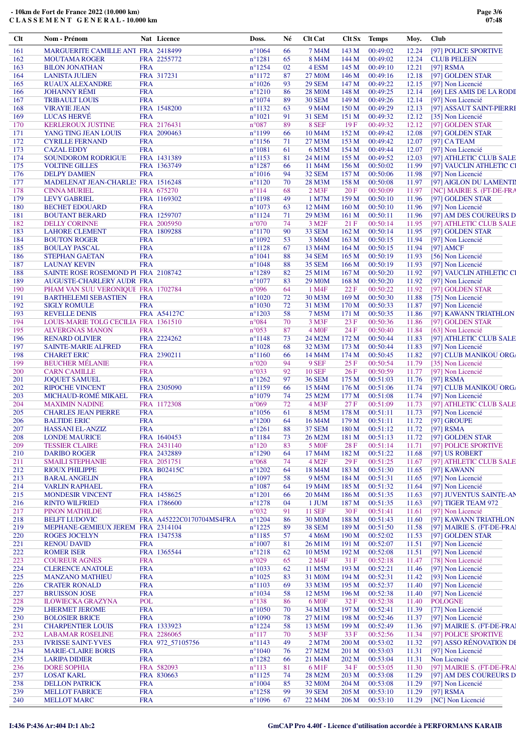| $Cl$       | Nom - Prénom                                  |            | Nat Licence                | Doss.                              | Né       | <b>Clt Cat</b>              | Clt Sx           | Temps                | Moy.           | <b>Club</b>                                  |
|------------|-----------------------------------------------|------------|----------------------------|------------------------------------|----------|-----------------------------|------------------|----------------------|----------------|----------------------------------------------|
| 161        | MARGUERITE CAMILLE ANT FRA 2418499            |            |                            | $n^{\circ}1064$                    | 66       | 7 M4M                       | 143 M            | 00:49:02             | 12.24          | [97] POLICE SPORTIVE                         |
| 162        | <b>MOUTAMA ROGER</b>                          |            | FRA 2255772                | $n^{\circ}1281$                    | 65       | 8 M4M                       | 144 M            | 00:49:02             | 12.24          | <b>CLUB PELEEN</b>                           |
| 163        | <b>BILON JONATHAN</b>                         | <b>FRA</b> |                            | $n^{\circ}$ 1254                   | 02       | 4 ESM                       | 145 M            | 00:49:10             | 12.21          | $[97]$ RSMA                                  |
| 164        | <b>LANISTA JULIEN</b>                         |            | FRA 317231                 | $n^{\circ}1172$                    | 87       | 27 M0M                      | 146 M            | 00:49:16             | 12.18          | [97] GOLDEN STAR                             |
| 165        | <b>RUAUX ALEXANDRE</b>                        | <b>FRA</b> |                            | $n^{\circ}1026$                    | 93       | <b>29 SEM</b>               | 147 M            | 00:49:22             | 12.15          | [97] Non Licencié                            |
| 166        | <b>JOHANNY RÉMI</b>                           | <b>FRA</b> |                            | $n^{\circ}1210$                    | 86       | <b>28 MOM</b>               | 148 M            | 00:49:25             | 12.14          | [69] LES AMIS DE LA RODI                     |
| 167        | <b>TRIBAULT LOUIS</b>                         | <b>FRA</b> |                            | $n^{\circ}1074$                    | 89       | <b>30 SEM</b>               | 149 M            | 00:49:26             | 12.14          | [97] Non Licencié                            |
| 168        | <b>VIRAYIE JEAN</b>                           |            | FRA 1548200                | $n^{\circ}1132$                    | 63       | 9 M4M                       | 150 M            | 00:49:29             | 12.13          | [97] ASSAUT SAINT-PIERRI                     |
| 169        | <b>LUCAS HERVÉ</b>                            | <b>FRA</b> |                            | $n^{\circ}1021$                    | 91       | <b>31 SEM</b>               | 151 M            | 00:49:32             | 12.12          | [35] Non Licencié                            |
| 170        | <b>KERLEROUX JUSTINE</b>                      |            | FRA 2176431                | $n^{\circ}087$                     | 89       | 8 SEF                       | 19F              | 00:49:32             | 12.12          | [97] GOLDEN STAR                             |
| 171        | YANG TING JEAN LOUIS                          |            | FRA 2090463                | $n^{\circ}1199$                    | 66       | 10 M <sub>4</sub> M         | 152 M            | 00:49:42             | 12.08          | [97] GOLDEN STAR                             |
| 172        | <b>CYRILLE FERNAND</b>                        | <b>FRA</b> |                            | $n^{\circ}1156$                    | 71       | 27 M3M                      | 153 M            | 00:49:42             | 12.07          | [97] $CA$ TEAM                               |
| 173        | <b>CAZAL EDDY</b>                             | <b>FRA</b> |                            | $n^{\circ}1081$                    | 61       | 6 M5M                       | 154 M            | 00:49:44             | 12.07          | [97] Non Licencié                            |
| 174        | <b>SOUNDOROM RODRIGUE</b>                     |            | FRA 1431389                | $n^{\circ}1153$                    | 81       | 24 M1M                      | 155 M            | 00:49:52             | 12.03          | [97] ATHLETIC CLUB SALE                      |
| 175<br>176 | <b>VOLTINE GILLES</b><br><b>DELPY DAMIEN</b>  | <b>FRA</b> | FRA 1363749                | $n^{\circ}1287$<br>$n^{\circ}1016$ | 66<br>94 | 11 M4M<br>32 SEM            | 156 M<br>157 M   | 00:50:02             | 11.99<br>11.98 | [97] VAUCLIN ATHLETIC CI                     |
| 177        | MADELENAT JEAN-CHARLE! FRA 1516248            |            |                            | $n^{\circ}1120$                    | 70       | 28 M3M                      | 158 M            | 00:50:06<br>00:50:08 | 11.97          | [97] Non Licencié<br>[97] AIGLON DU LAMENTII |
| 178        | <b>CINNA MURIEL</b>                           |            | FRA 675270                 | $n^{\circ}114$                     | 68       | $2$ M3F                     | 20F              | 00:50:09             | 11.97          | [NC] MAIRIE S. (FT-DE-FRA                    |
| 179        | <b>LEVY GABRIEL</b>                           |            | FRA 1169302                | $n^{\circ}1198$                    | 49       | 1 M7M                       | 159 M            | 00:50:10             | 11.96          | [97] GOLDEN STAR                             |
| 180        | <b>BECHET EDOUARD</b>                         | <b>FRA</b> |                            | $n^{\circ}1073$                    | 63       | 12 M4M                      | 160 <sub>M</sub> | 00:50:10             | 11.96          | [97] Non Licencié                            |
| 181        | <b>BOUTANT BERARD</b>                         |            | FRA 1259707                | $n^{\circ}1124$                    | 71       | 29 M3M                      | 161 M            | 00:50:11             | 11.96          | [97] AM DES COUREURS D                       |
| 182        | <b>DELLY CORINNE</b>                          |            | FRA 2005950                | $n^{\circ}070$                     | 74       | 3 M <sub>2F</sub>           | 21F              | 00:50:14             | 11.95          | [97] ATHLETIC CLUB SALE                      |
| 183        | <b>LAHORE CLEMENT</b>                         |            | FRA 1809288                | $n^{\circ}1170$                    | 90       | 33 SEM                      | 162 M            | 00:50:14             | 11.95          | [97] GOLDEN STAR                             |
| 184        | <b>BOUTON ROGER</b>                           | <b>FRA</b> |                            | $n^{\circ}1092$                    | 53       | 3 M6M                       | 163 M            | 00:50:15             | 11.94          | [97] Non Licencié                            |
| 185        | <b>BOULAY PASCAL</b>                          | <b>FRA</b> |                            | $n^{\circ}1128$                    | 67       | 13 M4M                      | 164 M            | 00:50:15             | 11.94          | $[97]$ AMCF                                  |
| 186        | <b>STEPHAN GAETAN</b>                         | <b>FRA</b> |                            | $n^{\circ}1041$                    | 88       | <b>34 SEM</b>               | 165 <sub>M</sub> | 00:50:19             | 11.93          | [56] Non Licencié                            |
| 187        | <b>LAUNAY KEVIN</b>                           | <b>FRA</b> |                            | $n^{\circ}1048$                    | 88       | <b>35 SEM</b>               | 166 M            | 00:50:19             | 11.93          | [97] Non Licencié                            |
| 188        | SAINTE ROSE ROSEMOND PI FRA 2108742           |            |                            | $n^{\circ}1289$                    | 82       | 25 M1M                      | 167 M            | 00:50:20             | 11.92          | [97] VAUCLIN ATHLETIC CI                     |
| 189        | AUGUSTE-CHARLERY AUDR FRA                     |            |                            | $n^{\circ}1077$                    | 83       | 29 M <sub>0</sub> M         | 168 M            | 00:50:20             | 11.92          | [97] Non Licencié                            |
| 190        | PHAM VAN SUU VERONIQUE FRA 1702784            |            |                            | $n^{\circ}096$                     | 64       | 1 M4F                       | 22F              | 00:50:22             | 11.92          | [97] GOLDEN STAR                             |
| 191        | <b>BARTHELEMI SEBASTIEN</b>                   | <b>FRA</b> |                            | $n^{\circ}1020$                    | 72       | 30 M3M                      | 169 M            | 00:50:30             | 11.88          | [75] Non Licencié                            |
| 192        | <b>SIGLY ROMULE</b>                           | <b>FRA</b> |                            | $n^{\circ}1030$                    | 72       | 31 M3M                      | 170 M            | 00:50:33             | 11.87          | [97] Non Licencié                            |
| 193        | <b>REVELLE DENIS</b>                          |            | <b>FRA A54127C</b>         | $n^{\circ}1203$                    | 58       | 7 M5M                       | 171 M            | 00:50:35             | 11.86          | [97] KAWANN TRIATHLON                        |
| 194        | LOUIS-MARIE TOLG CECILIA FRA 1361510          |            |                            | $n^{\circ}084$                     | 70       | 3 M3F                       | 23F              | 00:50:36             | 11.86          | [97] GOLDEN STAR                             |
| 195        | <b>ALVERGNAS MANON</b>                        | <b>FRA</b> |                            | $n^{\circ}053$                     | 87       | 4 M <sub>OF</sub>           | 24 F             | 00:50:40             | 11.84          | [63] Non Licencié                            |
| 196        | <b>RENARD OLIVIER</b>                         |            | FRA 2224262                | $n^{\circ}1148$                    | 73       | 24 M2M                      | 172 M            | 00:50:44             | 11.83          | [97] ATHLETIC CLUB SALE                      |
| 197        | <b>SAINTE-MARIE ALFRED</b>                    | <b>FRA</b> |                            | $n^{\circ}1028$                    | 68       | 32 M3M                      | 173 M            | 00:50:44             | 11.83          | [97] Non Licencié                            |
| 198        | <b>CHARET ERIC</b>                            |            | FRA 2390211                | $n^{\circ}1160$                    | 66       | 14 M4M                      | 174 M            | 00:50:45             | 11.82          | [97] CLUB MANIKOU ORG/                       |
| 199        | <b>BEUCHER MÉLANIE</b>                        | <b>FRA</b> |                            | $n^{\circ}020$                     | 94       | 9 SEF                       | 25F              | 00:50:54             | 11.79          | [35] Non Licencié                            |
| 200        | <b>CARN CAMILLE</b>                           | <b>FRA</b> |                            | $n^{\circ}033$                     | 92       | <b>10 SEF</b>               | 26F              | 00:50:59             | 11.77          | [97] Non Licencié                            |
| 201        | <b>JOQUET SAMUEL</b>                          | <b>FRA</b> |                            | $n^{\circ}1262$                    | 97       | <b>36 SEM</b>               | 175 M            | 00:51:03             | 11.76          | $[97]$ RSMA                                  |
| 202        | <b>RIPOCHE VINCENT</b>                        |            | FRA 2305090                | $n^{\circ}1159$                    | 66       | 15 M4M                      | 176M             | 00:51:06             | 11.74          | [97] CLUB MANIKOU ORG/                       |
| 203        | MICHAUD-ROMÉ MIKAEL                           | <b>FRA</b> |                            | $n^{\circ}1079$                    | 74       | 25 M2M                      | 177 M            | 00:51:08             | 11.74          | [97] Non Licencié                            |
| 204        | <b>MAXIMIN NADINE</b>                         |            | FRA 1172308                | $n^{\circ}069$                     | 72       | $4$ M3F                     | 27F              | 00:51:09             | 11.73          | [97] ATHLETIC CLUB SALE                      |
| 205        | <b>CHARLES JEAN PIERRE</b>                    | <b>FRA</b> |                            | $n^{\circ}1056$                    | 61       | 8 M5M                       | 178 M            | 00:51:11             | 11.73          | [97] Non Licencié                            |
| 206        | <b>BALTIDE ERIC</b>                           | <b>FRA</b> |                            | $n^{\circ}1200$                    | 64       | 16 M4M                      | 179 M            | 00:51:11             | 11.72          | [97] GROUPE                                  |
| 207        | <b>HASSANI EL-ANZIZ</b>                       | <b>FRA</b> |                            | $n^{\circ}1261$                    | 88       | <b>37 SEM</b>               | 180 M            | 00:51:12             | 11.72          | [97] RSMA                                    |
| 208        | <b>LONDE MAURICE</b>                          |            | FRA 1640453                | $n^{\circ}1184$                    | 73       | 26 M2M                      | 181 M            | 00:51:13             | 11.72          | [97] GOLDEN STAR                             |
| 209        | <b>TESSIER CLAIRE</b>                         |            | FRA 2431140                | $n^{\circ}120$                     | 83       | 5 M <sub>OF</sub>           | 28 F             | 00:51:14             | 11.71          | [97] POLICE SPORTIVE                         |
| 210        | <b>DARIBO ROGER</b>                           |            | FRA 2432889                | $n^{\circ}1290$                    | 64       | 17 M4M                      | 182 M            | 00:51:22             | 11.68          | [97] US ROBERT                               |
| 211<br>212 | <b>SMAILI STEPHANIE</b>                       |            | FRA 2051751<br>FRA B02415C | $n^{\circ}068$<br>$n^{\circ}1202$  | 74       | 4 M <sub>2F</sub><br>18 M4M | 29F<br>183 M     | 00:51:25<br>00:51:30 | 11.67          | [97] ATHLETIC CLUB SALE<br>[97] KAWANN       |
| 213        | <b>RIOUX PHILIPPE</b><br><b>BARAL ANGELIN</b> | <b>FRA</b> |                            | $n^{\circ}1097$                    | 64<br>58 | 9 M5M                       | 184 M            | 00:51:31             | 11.65<br>11.65 | [97] Non Licencié                            |
| 214        | <b>VARLIN RAPHAEL</b>                         | <b>FRA</b> |                            | $n^{\circ}1087$                    | 64       | 19 M4M                      | 185 M            | 00:51:32             | 11.64          | [97] Non Licencié                            |
| 215        | <b>MONDESIR VINCENT</b>                       |            | FRA 1458625                | $n^{\circ}1201$                    | 66       | 20 M <sub>4</sub> M         | 186 M            | 00:51:35             | 11.63          | [97] JUVENTUS SAINTE-AN                      |
| 216        | <b>RINTO WILFRIED</b>                         |            | FRA 1786600                | $n^{\circ}1278$                    | 04       | 1 JUM                       | 187 M            | 00:51:35             | 11.63          | [97] TIGER TEAM 972                          |
| 217        | <b>PINON MATHILDE</b>                         | <b>FRA</b> |                            | $n^{\circ}032$                     | 91       | <b>11 SEF</b>               | 30F              | 00:51:41             | 11.61          | [97] Non Licencié                            |
| 218        | <b>BELFT LUDOVIC</b>                          |            | FRA A45222C0170704MS4FRA   | $n^{\circ}1204$                    | 86       | 30 M <sub>O</sub> M         | 188 M            | 00:51:43             | 11.60          | [97] KAWANN TRIATHLON                        |
| 219        | MEPHANE-GEMIEUX JEREM FRA 2314104             |            |                            | $n^{\circ}1225$                    | 89       | <b>38 SEM</b>               | 189 M            | 00:51:50             | 11.58          | [97] MAIRIE S. (FT-DE-FRAI                   |
| 220        | <b>ROGES JOCELYN</b>                          |            | FRA 1347538                | $n^{\circ}1185$                    | 57       | 4 M6M                       | 190 M            | 00:52:02             | 11.53          | [97] GOLDEN STAR                             |
| 221        | <b>RENOU DAVID</b>                            | <b>FRA</b> |                            | $n^{\circ}1007$                    | 81       | 26 M1M                      | 191 M            | 00:52:07             | 11.51          | [97] Non Licencié                            |
| 222        | <b>ROMER ISER</b>                             |            | FRA 1365544                | $n^{\circ}1218$                    | 62       | 10 M5M                      | 192 M            | 00:52:08             | 11.51          | [97] Non Licencié                            |
| 223        | <b>COUREUR AGNES</b>                          | <b>FRA</b> |                            | $n^{\circ}029$                     | 65       | 2 M4F                       | 31 F             | 00:52:18             | 11.47          | [78] Non Licencié                            |
| 224        | <b>CLERENCE ANATOLE</b>                       | <b>FRA</b> |                            | $n^{\circ}1033$                    | 62       | 11 M5M                      | 193 M            | 00:52:21             | 11.46          | [97] Non Licencié                            |
| 225        | <b>MANZANO MATHIEU</b>                        | <b>FRA</b> |                            | $n^{\circ}1025$                    | 83       | 31 M <sub>0</sub> M         | 194 M            | 00:52:31             | 11.42          | [93] Non Licencié                            |
| 226        | <b>CRATER RONALD</b>                          | <b>FRA</b> |                            | $n^{\circ}1103$                    | 69       | 33 M3M                      | 195 M            | 00:52:37             | 11.40          | [97] Non Licencié                            |
| 227        | <b>BRUISSON JOSE</b>                          | <b>FRA</b> |                            | $n^{\circ}1034$                    | 58       | 12 M5M                      | 196 M            | 00:52:38             | 11.40          | [97] Non Licencié                            |
| 228        | <b>ILOWIECKA GRAZYNA</b>                      | <b>POL</b> |                            | $n^{\circ}138$                     | 86       | 6 M <sub>OF</sub>           | 32 F             | 00:52:38             | 11.40          | <b>POLOGNE</b>                               |
| 229        | <b>LHERMET JEROME</b>                         | <b>FRA</b> |                            | $n^{\circ}1050$                    | 70       | 34 M3M                      | 197 M            | 00:52:41             | 11.39          | [77] Non Licencié                            |
| 230        | <b>BOLOSIER BRICE</b>                         | <b>FRA</b> |                            | $n^{\circ}1090$                    | 78       | 27 M1M                      | 198 M            | 00:52:46             | 11.37          | [97] Non Licencié                            |
| 231        | <b>CHARPENTIER LOUIS</b>                      |            | FRA 1333923                | $n^{\circ}1224$                    | 58       | 13 M5M                      | 199 M            | 00:52:49             | 11.36          | [97] MAIRIE S. (FT-DE-FRA)                   |
| 232        | <b>LABAMAR ROSELINE</b>                       |            | FRA 2286065                | $n^{\circ}117$                     | 70       | 5 M3F                       | 33 F             | 00:52:56             | 11.34          | [97] POLICE SPORTIVE                         |
| 233        | <b>IVRISSE SAINT-YVES</b>                     |            | FRA 972_57105756           | $n^{\circ}1143$                    | 49       | 2 M7M                       | 200 M            | 00:53:02             | 11.32          | [97] ASSO RÉNOVATION DE                      |
| 234        | <b>MARIE-CLAIRE BORIS</b>                     | <b>FRA</b> |                            | $n^{\circ}1040$                    | 76       | 27 M2M                      | 201 M            | 00:53:03             | 11.31          | [97] Non Licencié                            |
| 235        | <b>LARIPA DIDIER</b>                          | <b>FRA</b> |                            | $n^{\circ}1282$                    | 66       | 21 M4M                      | 202 M            | 00:53:04             | 11.31          | Non Licencié                                 |
| 236        | <b>DORE SOPHIA</b>                            |            | FRA 582093                 | $n^{\circ}113$                     | 81       | 6 M1F                       | 34 F             | 00:53:05             | 11.30          | [97] MAIRIE S. (FT-DE-FRA)                   |
| 237        | <b>LOSAT KARL</b>                             |            | FRA 830663                 | $n^{\circ}1125$                    | 74       | 28 M2M                      | 203 M            | 00:53:08             | 11.29          | [97] AM DES COUREURS D                       |
| 238        | <b>DELLON PATRICK</b>                         | <b>FRA</b> |                            | $n^{\circ}1004$                    | 85       | 32 M <sub>0</sub> M         | 204 M            | 00:53:08             | 11.29          | [97] Non Licencié                            |
| 239        | <b>MELLOT FABRICE</b>                         | <b>FRA</b> |                            | $n^{\circ}$ 1258                   | 99       | <b>39 SEM</b>               | 205 M            | 00:53:10             | 11.29          | [97] RSMA                                    |
| 240        | <b>MELLOT MARC</b>                            | <b>FRA</b> |                            | $n^{\circ}1096$                    | 67       | 22 M4M                      | 206 M            | 00:53:10             | 11.29          | [NC] Non Licencié                            |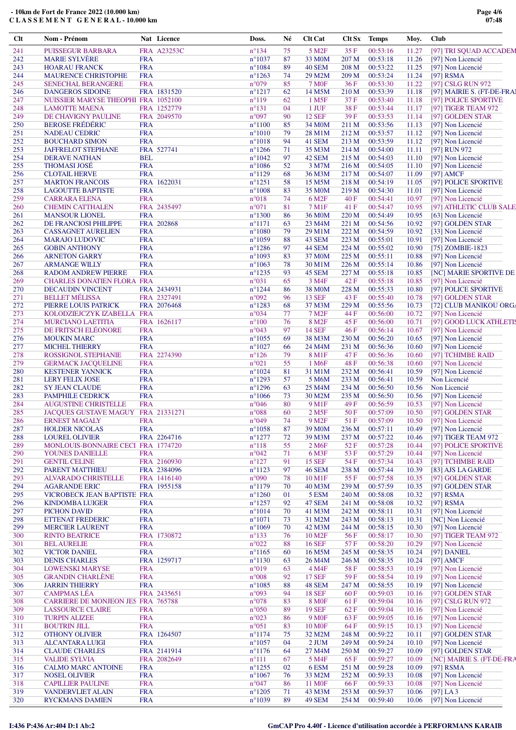| Clt | Nom - Prénom                              |            | Nat Licence | Doss.           | Né | <b>Clt Cat</b>      | Clt Sx Temps     |          | Moy.  | <b>Club</b>                |
|-----|-------------------------------------------|------------|-------------|-----------------|----|---------------------|------------------|----------|-------|----------------------------|
| 241 | <b>PUISSEGUR BARBARA</b>                  |            | FRA A23253C | $n^{\circ}134$  | 75 | 5 M <sub>2F</sub>   | 35 F             | 00:53:16 | 11.27 | [97] TRI SQUAD ACCADEM     |
| 242 | <b>MARIE SYLVÈRE</b>                      | <b>FRA</b> |             | $n^{\circ}1037$ | 87 | 33 M <sub>0</sub> M | 207 M            | 00:53:18 | 11.26 | [97] Non Licencié          |
| 243 | <b>HOARAU FRANCK</b>                      | <b>FRA</b> |             | $n^{\circ}1084$ | 89 | 40 SEM              | 208 M            | 00:53:22 | 11.25 | [97] Non Licencié          |
| 244 | <b>MAURENCE CHRISTOPHE</b>                | <b>FRA</b> |             | $n^{\circ}1263$ | 74 | 29 M2M              | 209 M            | 00:53:24 | 11.24 | $[97]$ RSMA                |
| 245 | <b>SENECHAL BERANGERE</b>                 | <b>FRA</b> |             | $n^{\circ}079$  | 85 | <b>7 MOF</b>        | 36F              | 00:53:30 | 11.22 | [97] CSLG RUN 972          |
| 246 | <b>DANGEROS SIDOINE</b>                   |            | FRA 1831520 | $n^{\circ}1217$ | 62 | 14 M5M              | 210 <sub>M</sub> | 00:53:39 | 11.18 | [97] MAIRIE S. (FT-DE-FRA) |
|     |                                           |            |             |                 |    |                     |                  |          |       |                            |
| 247 | NUISSIER MARYSE THEOPHI FRA 1052100       |            |             | $n^{\circ}119$  | 62 | $1$ M5F             | 37 F             | 00:53:40 | 11.18 | [97] POLICE SPORTIVE       |
| 248 | <b>LAMOTTE MAENA</b>                      |            | FRA 1252779 | $n^{\circ}131$  | 04 | 1 JUF               | 38F              | 00:53:44 | 11.17 | [97] TIGER TEAM 972        |
| 249 | DE CHAVIGNY PAULINE                       |            | FRA 2049570 | $n^{\circ}097$  | 90 | <b>12 SEF</b>       | 39F              | 00:53:53 | 11.14 | [97] GOLDEN STAR           |
| 250 | <b>BEROSE FRÉDÉRIC</b>                    | <b>FRA</b> |             | $n^{\circ}1100$ | 85 | 34 M <sub>0</sub> M | 211 M            | 00:53:56 | 11.13 | [97] Non Licencié          |
| 251 | <b>NADEAU CEDRIC</b>                      | <b>FRA</b> |             | $n^{\circ}1010$ | 79 | 28 M1M              | 212 M            | 00:53:57 | 11.12 | [97] Non Licencié          |
| 252 | <b>BOUCHARD SIMON</b>                     | <b>FRA</b> |             | $n^{\circ}1018$ | 94 | 41 SEM              | 213 M            | 00:53:59 | 11.12 | [97] Non Licencié          |
| 253 | <b>JAFFRELOT STEPHANE</b>                 |            | FRA 527741  | $n^{\circ}1266$ | 71 | 35 M3M              | 214 M            | 00:54:00 | 11.11 | [97] RUN 972               |
| 254 | <b>DERAVE NATHAN</b>                      | <b>BEL</b> |             | $n^{\circ}1042$ | 97 | 42 SEM              | 215 M            | 00:54:03 | 11.10 | [97] Non Licencié          |
| 255 | <b>THOMASI JOSÉ</b>                       | <b>FRA</b> |             | $n^{\circ}1086$ | 52 | 3 M7M               | 216 M            | 00:54:05 | 11.10 | [97] Non Licencié          |
| 256 | <b>CLOTAIL HERVE</b>                      | <b>FRA</b> |             | $n^{\circ}1129$ | 68 | 36 M3M              | 217 M            | 00:54:07 | 11.09 | $[97]$ AMCF                |
| 257 |                                           |            | FRA 1622031 | $n^{\circ}1251$ | 58 | 15 M5M              |                  | 00:54:19 |       |                            |
|     | <b>MARTON FRANCOIS</b>                    |            |             |                 |    |                     | 218 M            |          | 11.05 | [97] POLICE SPORTIVE       |
| 258 | <b>LAGOUTTE BAPTISTE</b>                  | <b>FRA</b> |             | $n^{\circ}1008$ | 83 | 35 M0M              | 219M             | 00:54:30 | 11.01 | [97] Non Licencié          |
| 259 | <b>CARRARA ELENA</b>                      | <b>FRA</b> |             | $n^{\circ}018$  | 74 | 6 M <sub>2F</sub>   | 40F              | 00:54:41 | 10.97 | [97] Non Licencié          |
| 260 | <b>CHEMIN CATTHALEN</b>                   |            | FRA 2435497 | $n^{\circ}071$  | 81 | 7 M1F               | 41 F             | 00:54:47 | 10.95 | [97] ATHLETIC CLUB SALE    |
| 261 | <b>MANSOUR LIONEL</b>                     | <b>FRA</b> |             | $n^{\circ}1300$ | 86 | 36 M <sub>0</sub> M | 220 M            | 00:54:49 | 10.95 | [63] Non Licencié          |
| 262 | DE FRANCIOSI PHILIPPE                     |            | FRA 202868  | $n^{\circ}1171$ | 63 | 23 M4M              | 221 M            | 00:54:56 | 10.92 | [97] GOLDEN STAR           |
| 263 | <b>CASSAGNET AURELIEN</b>                 | <b>FRA</b> |             | $n^{\circ}1080$ | 79 | 29 M1M              | 222 M            | 00:54:59 | 10.92 | [33] Non Licencié          |
| 264 | <b>MARAJO LUDOVIC</b>                     | <b>FRA</b> |             | $n^{\circ}1059$ | 88 | 43 SEM              | 223 M            | 00:55:01 | 10.91 | [97] Non Licencié          |
| 265 | <b>GOBIN ANTHONY</b>                      | <b>FRA</b> |             | $n^{\circ}1286$ | 97 | <b>44 SEM</b>       | 224 M            | 00:55:02 | 10.90 | [75] ZOMBIE-1823           |
|     |                                           |            |             |                 |    |                     |                  |          |       |                            |
| 266 | <b>ARNETON GARRY</b>                      | <b>FRA</b> |             | $n^{\circ}1093$ | 83 | 37 M <sub>0</sub> M | 225 M            | 00:55:11 | 10.88 | [97] Non Licencié          |
| 267 | <b>ARMANGE WILLY</b>                      | <b>FRA</b> |             | $n^{\circ}1063$ | 78 | 30 M1M              | 226 M            | 00:55:14 | 10.86 | [97] Non Licencié          |
| 268 | <b>RADOM ANDREW PIERRE</b>                | <b>FRA</b> |             | $n^{\circ}1235$ | 93 | 45 SEM              | 227 M            | 00:55:18 | 10.85 | [NC] MARIE SPORTIVE DE     |
| 269 | <b>CHARLES DONATIEN FLORA FRA</b>         |            |             | $n^{\circ}031$  | 65 | 3 M4F               | 42 F             | 00:55:18 | 10.85 | [97] Non Licencié          |
| 270 | <b>DECAUDIN VINCENT</b>                   |            | FRA 2434931 | $n^{\circ}1244$ | 86 | <b>38 MOM</b>       | 228 M            | 00:55:33 | 10.80 | [97] POLICE SPORTIVE       |
| 271 | <b>BELLET MÉLISSA</b>                     |            | FRA 2327491 | n°092           | 96 | <b>13 SEF</b>       | 43 F             | 00:55:40 | 10.78 | [97] GOLDEN STAR           |
| 272 | PIERRE LOUIS PATRICK                      |            | FRA 2076468 | $n^{\circ}1283$ | 68 | 37 M3M              | 229 M            | 00:55:56 | 10.73 | [72] CLUB MANIKOU ORG/     |
| 273 | KOLODZIEJCZYK IZABELLA FRA                |            |             | $n^{\circ}034$  | 77 | 7 M <sub>2F</sub>   | 44 F             | 00:56:00 | 10.72 | [97] Non Licencié          |
| 274 | <b>MURCIANO LAETITIA</b>                  |            | FRA 1626117 | $n^{\circ}100$  | 76 | 8 M <sub>2F</sub>   | 45 F             | 00:56:00 | 10.71 | [97] GOOD LUCK ATHLETIS    |
|     |                                           |            |             | $n^{\circ}043$  |    |                     |                  |          |       |                            |
| 275 | DE FRITSCH ELÉONORE                       | <b>FRA</b> |             |                 | 97 | <b>14 SEF</b>       | 46F              | 00:56:14 | 10.67 | [97] Non Licencié          |
| 276 | <b>MOUKIN MARC</b>                        | <b>FRA</b> |             | $n^{\circ}1055$ | 69 | 38 M3M              | 230 M            | 00:56:20 | 10.65 | [97] Non Licencié          |
| 277 | <b>MICHEL THIERRY</b>                     | <b>FRA</b> |             | $n^{\circ}1027$ | 66 | 24 M4M              | 231 M            | 00:56:36 | 10.60 | [97] Non Licencié          |
| 278 | <b>ROSSIGNOL STEPHANIE</b>                |            | FRA 2274390 | $n^{\circ}126$  | 79 | 8 M1F               | 47 F             | 00:56:36 | 10.60 | [97] TCHIMBE RAID          |
| 279 | <b>GERMACK JACQUELINE</b>                 | <b>FRA</b> |             | $n^{\circ}021$  | 55 | 1 M <sub>6F</sub>   | 48 F             | 00:56:38 | 10.60 | [97] Non Licencié          |
| 280 | <b>KESTENER YANNICK</b>                   | <b>FRA</b> |             | $n^{\circ}1024$ | 81 | 31 M1M              | 232 M            | 00:56:41 | 10.59 | [97] Non Licencié          |
| 281 | <b>LERY FELIX JOSE</b>                    | <b>FRA</b> |             | $n^{\circ}1293$ | 57 | 5 M6M               | 233M             | 00:56:41 | 10.59 | Non Licencié               |
| 282 | <b>SY JEAN CLAUDE</b>                     | <b>FRA</b> |             | $n^{\circ}1296$ | 63 | 25 M4M              | 234 M            | 00:56:50 | 10.56 | Non Licencié               |
| 283 | PAMPHILE CEDRICK                          | <b>FRA</b> |             | $n^{\circ}1066$ | 73 | 30 M2M              | 235 M            | 00:56:50 | 10.56 | [97] Non Licencié          |
|     |                                           |            |             |                 |    |                     |                  |          |       |                            |
| 284 | <b>AUGUSTINE CHRISTELLE</b>               | <b>FRA</b> |             | $n^{\circ}046$  | 80 | 9 M <sub>1F</sub>   | 49 F             | 00:56:59 | 10.53 | [97] Non Licencié          |
| 285 | JACOUES GUSTAVE MAGUY FRA 21331271        |            |             | $n^{\circ}088$  | 60 | $2$ M5F             | 50F              | 00:57:09 | 10.50 | [97] GOLDEN STAR           |
| 286 | <b>ERNEST MAGALY</b>                      | <b>FRA</b> |             | $n^{\circ}049$  | 74 | 9 M <sub>2F</sub>   | 51 F             | 00:57:09 | 10.50 | [97] Non Licencié          |
| 287 | <b>HOLDER NICOLAS</b>                     | <b>FRA</b> |             | $n^{\circ}1058$ | 87 | 39 M <sub>0</sub> M | 236 M            | 00:57:11 | 10.49 | [97] Non Licencié          |
| 288 | <b>LOUREL OLIVIER</b>                     |            | FRA 2264716 | $n^{\circ}1277$ | 72 | 39 M3M              | 237 M            | 00:57:22 | 10.46 | [97] TIGER TEAM 972        |
| 289 | MONLOUIS-BONNAIRE CECI FRA 1774720        |            |             | $n^{\circ}118$  | 55 | 2 M6F               | 52F              | 00:57:28 | 10.44 | [97] POLICE SPORTIVE       |
| 290 | YOUNES DANIELLE                           | <b>FRA</b> |             | $n^{\circ}042$  | 71 | 6 M3F               | 53 F             | 00:57:29 | 10.44 | [97] Non Licencié          |
| 291 | <b>GENTIL CELINE</b>                      |            | FRA 2160930 | $n^{\circ}127$  | 91 | <b>15 SEF</b>       | 54 F             | 00:57:34 | 10.43 | [97] TCHIMBE RAID          |
| 292 | <b>PARENT MATTHIEU</b>                    |            | FRA 2384096 | $n^{\circ}1123$ | 97 | <b>46 SEM</b>       | 238 M            | 00:57:44 | 10.39 | [83] AJS LA GARDE          |
|     |                                           |            |             |                 |    |                     |                  |          |       |                            |
| 293 | <b>ALVARADO CHRISTELLE</b>                |            | FRA 1416140 | $n^{\circ}090$  | 78 | 10 M1F              | 55 F             | 00:57:58 | 10.35 | [97] GOLDEN STAR           |
| 294 | <b>AGARANDE ERIC</b>                      |            | FRA 1955158 | $n^{\circ}1179$ | 70 | 40 M3M              | 239 M            | 00:57:59 | 10.35 | [97] GOLDEN STAR           |
| 295 | VICROBECK JEAN BAPTISTE FRA               |            |             | $n^{\circ}1260$ | 01 | 5 ESM               | 240 M            | 00:58:08 | 10.32 | [97] RSMA                  |
| 296 | <b>KINDOMBA LUIGER</b>                    | <b>FRA</b> |             | $n^{\circ}1257$ | 92 | 47 SEM              | 241 M            | 00:58:08 | 10.32 | $[97]$ RSMA                |
| 297 | PICHON DAVID                              | <b>FRA</b> |             | $n^{\circ}1014$ | 70 | 41 M3M              | 242 M            | 00:58:11 | 10.31 | [97] Non Licencié          |
| 298 | <b>ETTENAT FREDERIC</b>                   | <b>FRA</b> |             | $n^{\circ}1071$ | 73 | 31 M2M              | 243 M            | 00:58:13 | 10.31 | [NC] Non Licencié          |
| 299 | <b>MERCIER LAURENT</b>                    | <b>FRA</b> |             | $n^{\circ}1069$ | 70 | 42 M3M              | 244 M            | 00:58:15 | 10.30 | [97] Non Licencié          |
| 300 | <b>RINTO BEATRICE</b>                     |            | FRA 1730872 | $n^{\circ}133$  | 76 | 10 M <sub>2F</sub>  | 56 F             | 00:58:17 | 10.30 | [97] TIGER TEAM 972        |
| 301 | <b>BEL AURELIE</b>                        | <b>FRA</b> |             | $n^{\circ}022$  | 88 | <b>16 SEF</b>       | 57 F             | 00:58:20 | 10.29 | [97] Non Licencié          |
| 302 | <b>VICTOR DANIEL</b>                      | <b>FRA</b> |             | $n^{\circ}1165$ | 60 | 16 M5M              | 245 M            | 00:58:35 | 10.24 | [97] DANIEL                |
|     |                                           |            |             |                 |    |                     |                  |          |       |                            |
| 303 | <b>DENIS CHARLES</b>                      |            | FRA 1259717 | $n^{\circ}1130$ | 63 | 26 M <sub>4</sub> M | 246 M            | 00:58:35 | 10.24 | $[97]$ AMCF                |
| 304 | <b>LOWENSKI MARYSE</b>                    | <b>FRA</b> |             | $n^{\circ}019$  | 63 | 4 M4F               | 58 F             | 00:58:53 | 10.19 | [97] Non Licencié          |
| 305 | <b>GRANDIN CHARLÈNE</b>                   | <b>FRA</b> |             | $n^{\circ}008$  | 92 | <b>17 SEF</b>       | 59 F             | 00:58:54 | 10.19 | [97] Non Licencié          |
| 306 | <b>JARRIN THIERRY</b>                     | <b>FRA</b> |             | $n^{\circ}1085$ | 88 | 48 SEM              | 247 M            | 00:58:55 | 10.19 | [97] Non Licencié          |
| 307 | <b>CAMPMAS LÉA</b>                        |            | FRA 2435651 | $n^{\circ}093$  | 94 | <b>18 SEF</b>       | 60 F             | 00:59:03 | 10.16 | [97] GOLDEN STAR           |
| 308 | <b>CARRIERE DE MONJEON JES FRA 765788</b> |            |             | $n^{\circ}078$  | 83 | <b>8 MOF</b>        | 61 F             | 00:59:04 | 10.16 | [97] CSLG RUN 972          |
| 309 | <b>LASSOURCE CLAIRE</b>                   | <b>FRA</b> |             | $n^{\circ}050$  | 89 | <b>19 SEF</b>       | 62 F             | 00:59:04 | 10.16 | [97] Non Licencié          |
|     | <b>TURPIN ALIZEE</b>                      | <b>FRA</b> |             | $n^{\circ}023$  | 86 | 9 M <sub>OF</sub>   |                  | 00:59:05 |       | [97] Non Licencié          |
| 310 |                                           |            |             |                 |    |                     | 63 F             |          | 10.16 |                            |
| 311 | <b>BOUTRIN JILL</b>                       | <b>FRA</b> |             | $n^{\circ}051$  | 83 | <b>10 MOF</b>       | 64 F             | 00:59:15 | 10.13 | [97] Non Licencié          |
| 312 | <b>OTHONY OLIVIER</b>                     |            | FRA 1264507 | $n^{\circ}1174$ | 75 | 32 M2M              | 248 M            | 00:59:22 | 10.11 | [97] GOLDEN STAR           |
| 313 | <b>ALCANTARA LUIGI</b>                    | <b>FRA</b> |             | $n^{\circ}1057$ | 04 | 2 JUM               | 249 M            | 00:59:24 | 10.10 | [97] Non Licencié          |
| 314 | <b>CLAUDE CHARLES</b>                     |            | FRA 2141914 | $n^{\circ}1176$ | 64 | 27 M4M              | 250 M            | 00:59:27 | 10.09 | [97] GOLDEN STAR           |
| 315 | <b>VALIDE SYLVIA</b>                      |            | FRA 2082649 | $n^{\circ}111$  | 67 | 5 M4F               | 65 F             | 00:59:27 | 10.09 | [NC] MAIRIE S. (FT-DE-FRA  |
| 316 | <b>CALMO MARC ANTOINE</b>                 | <b>FRA</b> |             | $n^{\circ}1255$ | 02 | 6 ESM               | 251 M            | 00:59:28 | 10.09 | $[97]$ RSMA                |
| 317 | <b>NOSEL OLIVIER</b>                      | <b>FRA</b> |             | $n^{\circ}1067$ | 76 | 33 M2M              | 252 M            | 00:59:33 | 10.08 | [97] Non Licencié          |
|     |                                           |            |             |                 |    |                     |                  |          |       |                            |
| 318 | <b>CAPILLIER PAULINE</b>                  | <b>FRA</b> |             | $n^{\circ}047$  | 86 | <b>11 MOF</b>       | 66 F             | 00:59:33 | 10.08 | [97] Non Licencié          |
| 319 | <b>VANDERVLIET ALAIN</b>                  | <b>FRA</b> |             | $n^{\circ}1205$ | 71 | 43 M3M              | 253 M            | 00:59:37 | 10.06 | [97] LA3                   |
| 320 | <b>RYCKMANS DAMIEN</b>                    | <b>FRA</b> |             | $n^{\circ}1039$ | 89 | 49 SEM              | 254 M            | 00:59:40 | 10.06 | [97] Non Licencié          |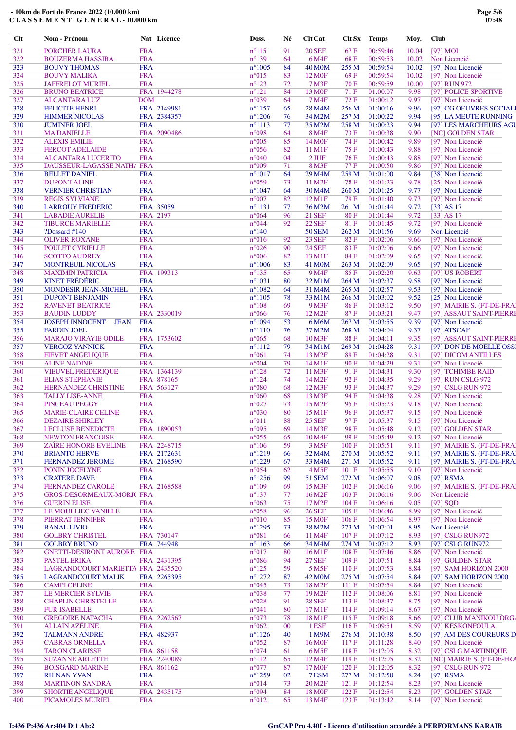| Clt | Nom - Prénom                                  |            | Nat Licence | Doss.           | Né     | <b>Clt Cat</b>      | Clt Sx | <b>Temps</b> | Moy.  | <b>Club</b> |                            |
|-----|-----------------------------------------------|------------|-------------|-----------------|--------|---------------------|--------|--------------|-------|-------------|----------------------------|
| 321 | <b>PORCHER LAURA</b>                          | <b>FRA</b> |             | $n^{\circ}115$  | 91     | <b>20 SEF</b>       | 67 F   | 00:59:46     | 10.04 |             | $[97]$ MOI                 |
| 322 | <b>BOUZERMA HASSIBA</b>                       | <b>FRA</b> |             | $n^{\circ}139$  | 64     | 6 M4F               | 68F    | 00:59:53     | 10.02 |             | Non Licencié               |
| 323 | <b>BOUVY THOMAS</b>                           | <b>FRA</b> |             | $n^{\circ}1005$ | 84     | <b>40 M0M</b>       | 255 M  | 00:59:54     | 10.02 |             | [97] Non Licencié          |
| 324 | <b>BOUVY MALIKA</b>                           | <b>FRA</b> |             | $n^{\circ}015$  | 83     | 12 M <sub>OF</sub>  | 69F    | 00:59:54     | 10.02 |             | [97] Non Licencié          |
| 325 | <b>JAFFRELOT MURIEL</b>                       | <b>FRA</b> |             | $n^{\circ}123$  | 72     | 7 M3F               | 70 F   | 00:59:59     | 10.00 |             | [97] RUN 972               |
| 326 | <b>BRUNO BEATRICE</b>                         |            | FRA 1944278 | $n^{\circ}121$  | 84     | 13 M <sub>OF</sub>  | 71 F   | 01:00:07     | 9.98  |             | [97] POLICE SPORTIVE       |
| 327 |                                               | <b>DOM</b> |             | n°039           | 64     | 7 M4F               | 72F    | 01:00:12     | 9.97  |             | [97] Non Licencié          |
| 328 | <b>ALCANTARA LUZ</b><br><b>FELICITE HENRI</b> |            | FRA 2149981 | $n^{\circ}1157$ | 65     | 28 M <sub>4</sub> M | 256 M  | 01:00:16     | 9.96  |             | [97] CG OEUVRES SOCIALI    |
| 329 |                                               |            |             | $n^{\circ}1206$ |        | 34 M2M              | 257 M  | 01:00:22     |       |             |                            |
|     | <b>HIMMER NICOLAS</b>                         |            | FRA 2384357 |                 | 76     |                     |        |              | 9.94  |             | [95] LA MEUTE RUNNING      |
| 330 | <b>JUMINER JOEL</b>                           | <b>FRA</b> |             | $n^{\circ}1113$ | 77     | 35 M2M              | 258 M  | 01:00:23     | 9.94  |             | [97] LES MARCHEURS AGU     |
| 331 | <b>MA DANIELLE</b>                            |            | FRA 2090486 | n°098           | 64     | 8 M4F               | 73 F   | 01:00:38     | 9.90  |             | <b>[NC] GOLDEN STAR</b>    |
| 332 | <b>ALEXIS EMILIE</b>                          | <b>FRA</b> |             | $n^{\circ}005$  | 85     | 14 M <sub>OF</sub>  | 74 F   | 01:00:42     | 9.89  |             | [97] Non Licencié          |
| 333 | <b>FERCOT ADELAIDE</b>                        | <b>FRA</b> |             | $n^{\circ}056$  | 82     | 11 M1F              | 75 F   | 01:00:43     | 9.88  |             | [97] Non Licencié          |
| 334 | <b>ALCANTARA LUCERITO</b>                     | <b>FRA</b> |             | $n^{\circ}040$  | 04     | $2$ JUF             | 76F    | 01:00:43     | 9.88  |             | [97] Non Licencié          |
| 335 | DAUSSEUR-LAGASSE NATH/ FRA                    |            |             | $n^{\circ}009$  | 71     | 8 M3F               | 77 F   | 01:00:50     | 9.86  |             | [97] Non Licencié          |
| 336 | <b>BELLET DANIEL</b>                          | <b>FRA</b> |             | $n^{\circ}1017$ | 64     | 29 M4M              | 259 M  | 01:01:00     | 9.84  |             | [38] Non Licencié          |
| 337 | <b>DUPONT ALINE</b>                           | <b>FRA</b> |             | $n^{\circ}059$  | 73     | 11 M <sub>2F</sub>  | 78 F   | 01:01:23     | 9.78  |             | [25] Non Licencié          |
| 338 | <b>VERNIER CHRISTIAN</b>                      | <b>FRA</b> |             | $n^{\circ}1047$ | 64     | 30 M4M              | 260 M  | 01:01:25     | 9.77  |             | [97] Non Licencié          |
| 339 | <b>REGIS SYLVIANE</b>                         | <b>FRA</b> |             | $n^{\circ}007$  | 82     | 12 M1F              | 79 F   | 01:01:40     | 9.73  |             | [97] Non Licencié          |
| 340 | <b>LARROUY FREDERIC</b>                       |            | FRA 35059   | $n^{\circ}1131$ | 77     | 36 M2M              | 261 M  | 01:01:44     | 9.72  |             | $[33]$ AS 17               |
| 341 | <b>LABADIE AURELIE</b>                        |            | FRA 2197    | $n^{\circ}064$  | 96     | <b>21 SEF</b>       | 80 F   | 01:01:44     | 9.72  |             | $[33]$ AS 17               |
| 342 | <b>TIBURCE MARIELLE</b>                       | <b>FRA</b> |             | $n^{\circ}044$  | 92     | <b>22 SEF</b>       | 81F    | 01:01:45     | 9.72  |             | [97] Non Licencié          |
| 343 | $?$ Dossard #140                              | <b>FRA</b> |             | $n^{\circ}140$  |        | <b>50 SEM</b>       | 262 M  | 01:01:56     | 9.69  |             | Non Licencié               |
| 344 | <b>OLIVER ROXANE</b>                          | <b>FRA</b> |             | $n^{\circ}016$  | 92     | <b>23 SEF</b>       | 82F    | 01:02:06     | 9.66  |             | [97] Non Licencié          |
| 345 | POULET CYRIELLE                               | <b>FRA</b> |             | $n^{\circ}026$  | 90     | <b>24 SEF</b>       | 83F    | 01:02:06     | 9.66  |             | [97] Non Licencié          |
| 346 | <b>SCOTTO AUDREY</b>                          | <b>FRA</b> |             | $n^{\circ}006$  | 82     | 13 M1F              | 84 F   | 01:02:09     | 9.65  |             | [97] Non Licencié          |
| 347 | MONTREUIL NICOLAS                             | <b>FRA</b> |             | $n^{\circ}1006$ | 83     | 41 M0M              | 263 M  | 01:02:09     | 9.65  |             | [97] Non Licencié          |
| 348 | <b>MAXIMIN PATRICIA</b>                       |            | FRA 199313  | $n^{\circ}135$  | 65     | 9 M <sub>4F</sub>   | 85F    | 01:02:20     | 9.63  |             | [97] US ROBERT             |
| 349 | <b>KINET FRÉDÉRIC</b>                         | <b>FRA</b> |             | $n^{\circ}1031$ | 80     | 32 M1M              | 264 M  | 01:02:37     | 9.58  |             | [97] Non Licencié          |
| 350 | MONDESIR JEAN-MICHEL                          | <b>FRA</b> |             | $n^{\circ}1082$ | 64     | 31 M4M              | 265 M  | 01:02:57     | 9.53  |             | [97] Non Licencié          |
|     |                                               |            |             |                 |        |                     |        |              |       |             |                            |
| 351 | <b>DUPONT BENJAMIN</b>                        | <b>FRA</b> |             | $n^{\circ}1105$ | 78     | 33 M1M              | 266 M  | 01:03:02     | 9.52  |             | [25] Non Licencié          |
| 352 | <b>RAVENET BEATRICE</b>                       | <b>FRA</b> |             | $n^{\circ}108$  | 69     | 9 M3F               | 86 F   | 01:03:12     | 9.50  |             | [97] MAIRIE S. (FT-DE-FRAI |
| 353 | <b>BAUDIN LUDDY</b>                           |            | FRA 2330019 | $n^{\circ}066$  | 76     | 12 M <sub>2</sub> F | 87F    | 01:03:21     | 9.47  |             | [97] ASSAUT SAINT-PIERRI   |
| 354 | JOSEPH INNOCENT JEAN                          | <b>FRA</b> |             | $n^{\circ}1094$ | 53     | 6 M6M               | 267 M  | 01:03:55     | 9.39  |             | [97] Non Licencié          |
| 355 | <b>FARDIN JOEL</b>                            | <b>FRA</b> |             | $n^{\circ}1110$ | 76     | 37 M2M              | 268 M  | 01:04:04     | 9.37  |             | [97] ATSCAF                |
| 356 | <b>MARAJO VIRAYIE ODILE</b>                   |            | FRA 1753602 | $n^{\circ}065$  | 68     | 10 M3F              | 88F    | 01:04:11     | 9.35  |             | [97] ASSAUT SAINT-PIERRI   |
| 357 | <b>VERGOZ YANNICK</b>                         | <b>FRA</b> |             | $n^{\circ}1112$ | 79     | 34 M1M              | 269 M  | 01:04:28     | 9.31  |             | [97] DON DE MOELLE OSSI    |
| 358 | <b>FIEVET ANGELIQUE</b>                       | <b>FRA</b> |             | $n^{\circ}061$  | 74     | 13 M <sub>2F</sub>  | 89F    | 01:04:28     | 9.31  |             | [97] DICOM ANTILLES        |
| 359 | <b>ALINE NADINE</b>                           | <b>FRA</b> |             | $n^{\circ}004$  | 79     | 14 M1F              | 90F    | 01:04:29     | 9.31  |             | [97] Non Licencié          |
| 360 | <b>VIEUVEL FREDERIQUE</b>                     |            | FRA 1364139 | $n^{\circ}128$  | 72     | 11 M3F              | 91 F   | 01:04:31     | 9.30  |             | [97] TCHIMBE RAID          |
| 361 | <b>ELIAS STEPHANIE</b>                        |            | FRA 878165  | $n^{\circ}124$  | 74     | 14 M <sub>2F</sub>  | 92 F   | 01:04:35     | 9.29  |             | [97] RUN CSLG 972          |
| 362 | HERNANDEZ CHRISTINE                           |            | FRA 563127  | $n^{\circ}080$  | 68     | 12 M3F              | 93 F   | 01:04:37     | 9.29  |             | [97] CSLG RUN 972          |
| 363 | <b>TALLY LISE-ANNE</b>                        | <b>FRA</b> |             | $n^{\circ}060$  | 68     | 13 M3F              | 94 F   | 01:04:38     | 9.28  |             | [97] Non Licencié          |
| 364 | PINCEAU PEGGY                                 | <b>FRA</b> |             | $n^{\circ}027$  | 73     | 15 M <sub>2F</sub>  | 95 F   | 01:05:23     | 9.18  |             | [97] Non Licencié          |
| 365 | <b>MARIE-CLAIRE CELINE</b>                    | <b>FRA</b> |             | $n^{\circ}030$  | 80     | 15 M1F              | 96F    | 01:05:37     | 9.15  |             | [97] Non Licencié          |
| 366 | <b>DEZAIRE SHIRLEY</b>                        | <b>FRA</b> |             | $n^{\circ}011$  | 88     | <b>25 SEF</b>       | 97 F   | 01:05:37     | 9.15  |             | [97] Non Licencié          |
| 367 | LECLUSE BENEDICTE                             |            | FRA 1890053 | $n^{\circ}095$  | 69     | 14 M3F              | 98 F   | 01:05:48     | 9.12  |             | [97] GOLDEN STAR           |
| 368 | <b>NEWTON FRANCOISE</b>                       | <b>FRA</b> |             | $n^{\circ}055$  | 65     | 10 M4F              | 99F    | 01:05:49     | 9.12  |             | [97] Non Licencié          |
| 369 | ZAÎRE HONORE EVELINE                          |            | FRA 2248715 | $n^{\circ}106$  | 59     |                     | 100F   | 01:05:51     | 9.11  |             | [97] MAIRIE S. (FT-DE-FRAI |
|     | <b>BRIANTO HERVE</b>                          |            | FRA 2172631 |                 |        | 3 M <sub>5F</sub>   |        | 01:05:52     |       |             | [97] MAIRIE S. (FT-DE-FRA) |
| 370 | <b>FERNANDEZ JEROME</b>                       |            |             | $n^{\circ}1219$ | 66     | 32 M4M              | 270 M  |              | 9.11  |             |                            |
| 371 |                                               |            | FRA 2168590 | $n^{\circ}1229$ | 67     | 33 M4M              | 271 M  | 01:05:52     | 9.11  |             | [97] MAIRIE S. (FT-DE-FRAI |
| 372 | PONIN JOCELYNE                                | <b>FRA</b> |             | $n^{\circ}054$  | 62     | 4 M <sub>5F</sub>   | 101 F  | 01:05:55     | 9.10  |             | [97] Non Licencié          |
| 373 | <b>CRATERE DAVE</b>                           | <b>FRA</b> |             | $n^{\circ}1256$ | 99     | <b>51 SEM</b>       | 272 M  | 01:06:07     | 9.08  |             | $[97]$ RSMA                |
| 374 | <b>FERNANDEZ CAROLE</b>                       |            | FRA 2168588 | $n^{\circ}109$  | 69     | 15 M3F              | 102 F  | 01:06:16     | 9.06  |             | [97] MAIRIE S. (FT-DE-FRA) |
| 375 | <b>GROS-DESORMEAUX-MORJ(FRA</b>               |            |             | $n^{\circ}137$  | 77     | 16 M <sub>2F</sub>  | 103 F  | 01:06:16     | 9.06  |             | Non Licencié               |
| 376 | <b>GUERIN ELISE</b>                           | <b>FRA</b> |             | $n^{\circ}063$  | 75     | 17 M <sub>2F</sub>  | 104 F  | 01:06:16     | 9.05  |             | $[97]$ SQD                 |
| 377 | LE MOULLIEC VANILLE                           | <b>FRA</b> |             | $n^{\circ}058$  | 96     | <b>26 SEF</b>       | 105 F  | 01:06:46     | 8.99  |             | [97] Non Licencié          |
| 378 | PIERRAT JENNIFER                              | <b>FRA</b> |             | $n^{\circ}010$  | 85     | <b>15 MOF</b>       | 106F   | 01:06:54     | 8.97  |             | [97] Non Licencié          |
| 379 | <b>BANAL LIVIO</b>                            | <b>FRA</b> |             | $n^{\circ}1295$ | 73     | 38 M2M              | 273 M  | 01:07:01     | 8.95  |             | Non Licencié               |
| 380 | <b>GOLBRY CHRISTEL</b>                        |            | FRA 730147  | $n^{\circ}081$  | 66     | 11 M4F              | 107F   | 01:07:12     | 8.93  |             | [97] CSLG RUN972           |
| 381 | <b>GOLBRY BRUNO</b>                           |            | FRA 744948  | $n^{\circ}1163$ | 66     | 34 M4M              | 274 M  | 01:07:12     | 8.93  |             | [97] CSLG RUN972           |
| 382 | GNETTI-DESIRONT AURORE FRA                    |            |             | $n^{\circ}017$  | 80     | 16 M1F              | 108 F  | 01:07:46     | 8.86  |             | [97] Non Licencié          |
| 383 | <b>PASTEL ERIKA</b>                           |            | FRA 2431395 | $n^{\circ}086$  | 94     | <b>27 SEF</b>       | 109F   | 01:07:51     | 8.84  |             | [97] GOLDEN STAR           |
| 384 | LAGRANDCOURT MARIETTA FRA 2435520             |            |             | $n^{\circ}125$  | 59     | 5 M <sub>5</sub> F  | 110F   | 01:07:53     | 8.84  |             | [97] SAM HORIZON 2000      |
| 385 | <b>LAGRANDCOURT MALIK</b>                     |            | FRA 2265395 | $n^{\circ}1272$ | 87     | 42 M <sub>0</sub> M | 275 M  | 01:07:54     | 8.84  |             | [97] SAM HORIZON 2000      |
| 386 | <b>CAMPI CELINE</b>                           | <b>FRA</b> |             | $n^{\circ}045$  | 73     | 18 M <sub>2F</sub>  | 111F   | 01:07:54     | 8.84  |             | [97] Non Licencié          |
| 387 | LE MERCIER SYLVIE                             | <b>FRA</b> |             | $n^{\circ}038$  | 77     | 19 M <sub>2F</sub>  | 112F   | 01:08:06     | 8.81  |             | [97] Non Licencié          |
| 388 | <b>CHAPLIN CHRISTELLE</b>                     | <b>FRA</b> |             | $n^{\circ}028$  | 91     | <b>28 SEF</b>       | 113F   | 01:08:37     | 8.75  |             | [97] Non Licencié          |
| 389 | <b>FUR ISABELLE</b>                           | <b>FRA</b> |             | $n^{\circ}041$  | 80     | 17 M1F              | 114F   | 01:09:14     | 8.67  |             | [97] Non Licencié          |
| 390 | <b>GREGOIRE NATACHA</b>                       |            | FRA 2262567 | n°073           | 78     | 18 M1F              | 115F   | 01:09:18     | 8.66  |             | [97] CLUB MANIKOU ORG/     |
| 391 | <b>ALLAIN AZÉLINE</b>                         | <b>FRA</b> |             | $n^{\circ}062$  | $00\,$ | 1 ESF               | 116F   | 01:09:51     | 8.59  |             | [97] KESKONFOULA           |
| 392 | <b>TALMANN ANDRE</b>                          |            | FRA 482937  | $n^{\circ}1126$ |        |                     | 276 M  |              | 8.50  |             | [97] AM DES COUREURS D     |
|     |                                               |            |             |                 | 40     | 1 M9M               |        | 01:10:38     |       |             |                            |
| 393 | <b>CABRAS ORNELLA</b>                         | <b>FRA</b> |             | $n^{\circ}052$  | 87     | 16 M <sub>OF</sub>  | 117 F  | 01:11:28     | 8.40  |             | [97] Non Licencié          |
| 394 | <b>TARON CLARISSE</b>                         |            | FRA 861158  | $n^{\circ}074$  | 61     | 6 M <sub>5F</sub>   | 118F   | 01:12:05     | 8.32  |             | [97] CSLG MARTINIQUE       |
| 395 | <b>SUZANNE ARLETTE</b>                        |            | FRA 2240089 | $n^{\circ}112$  | 65     | 12 M4F              | 119F   | 01:12:05     | 8.32  |             | [NC] MAIRIE S. (FT-DE-FRA  |
| 396 | <b>BOISGARD MARINE</b>                        |            | FRA 861162  | $n^{\circ}077$  | 87     | 17 M <sub>OF</sub>  | 120 F  | 01:12:05     | 8.32  |             | [97] CSLG RUN 972          |
| 397 | <b>RHINAN YVAN</b>                            | <b>FRA</b> |             | $n^{\circ}1259$ | 02     | 7 ESM               | 277 M  | 01:12:50     | 8.24  |             | [97] $RSMA$                |
| 398 | <b>MARTINON SANDRA</b>                        | <b>FRA</b> |             | $n^{\circ}014$  | 73     | 20 M <sub>2F</sub>  | 121 F  | 01:12:54     | 8.23  |             | [97] Non Licencié          |
| 399 | <b>SHORTIE ANGELIQUE</b>                      |            | FRA 2435175 | n°094           | 84     | <b>18 MOF</b>       | 122 F  | 01:12:54     | 8.23  |             | [97] GOLDEN STAR           |
| 400 | PICAMOLES MURIEL                              | <b>FRA</b> |             | $n^{\circ}012$  | 65     | 13 M4F              | 123 F  | 01:13:42     | 8.14  |             | [97] Non Licencié          |

# **I:436 P:436 Ar:404 D:1 Ab:2 GmCAP Pro 4.40f - Licence d'utilisation accordée à PERFORMANS KARAIB**